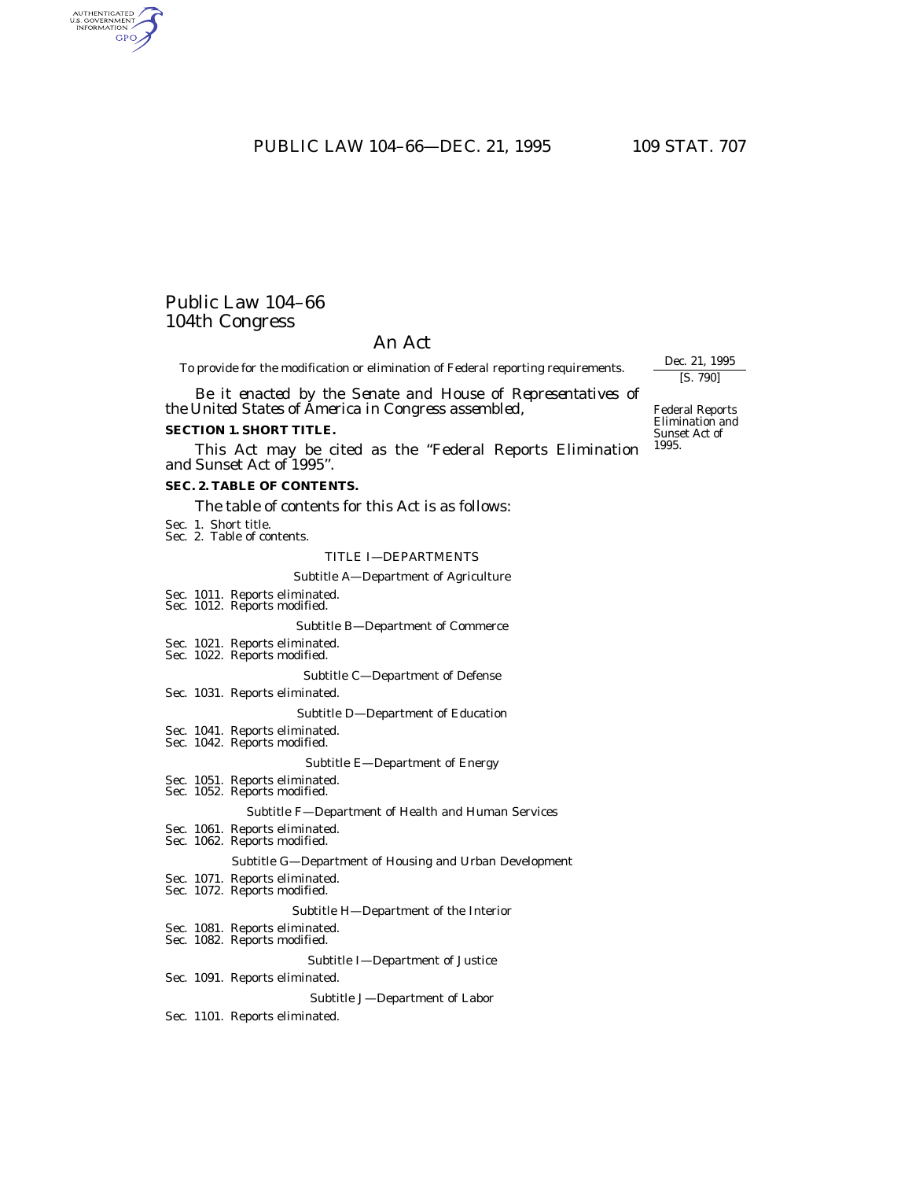PUBLIC LAW 104-66-DEC. 21, 1995 109 STAT. 707

## Public Law 104–66 104th Congress

AUTHENTICATED **GPO** 

### An Act

To provide for the modification or elimination of Federal reporting requirements.

*Be it enacted by the Senate and House of Representatives of the United States of America in Congress assembled,*

### **SECTION 1. SHORT TITLE.**

This Act may be cited as the ''Federal Reports Elimination and Sunset Act of 1995''.

### **SEC. 2. TABLE OF CONTENTS.**

The table of contents for this Act is as follows:

- Sec. 1. Short title.
- Sec. 2. Table of contents.

### TITLE I—DEPARTMENTS

#### Subtitle A—Department of Agriculture

- Sec. 1011. Reports eliminated. Sec. 1012. Reports modified.
- 

Subtitle B—Department of Commerce

- Sec. 1021. Reports eliminated.
- Sec. 1022. Reports modified.

Subtitle C—Department of Defense

Sec. 1031. Reports eliminated.

Subtitle D—Department of Education

- Sec. 1041. Reports eliminated.
- Sec. 1042. Reports modified.

#### Subtitle E—Department of Energy

- Sec. 1051. Reports eliminated. Sec. 1052. Reports modified.
- 

### Subtitle F—Department of Health and Human Services

Sec. 1061. Reports eliminated. Sec. 1062. Reports modified.

#### Subtitle G—Department of Housing and Urban Development

- Sec. 1071. Reports eliminated.
- Sec. 1072. Reports modified.

#### Subtitle H—Department of the Interior

- Sec. 1081. Reports eliminated. Sec. 1082. Reports modified.
- 

#### Subtitle I—Department of Justice

### Sec. 1091. Reports eliminated.

### Subtitle J—Department of Labor

Sec. 1101. Reports eliminated.

Federal Reports Elimination and Sunset Act of 1995.

Dec. 21, 1995 [S. 790]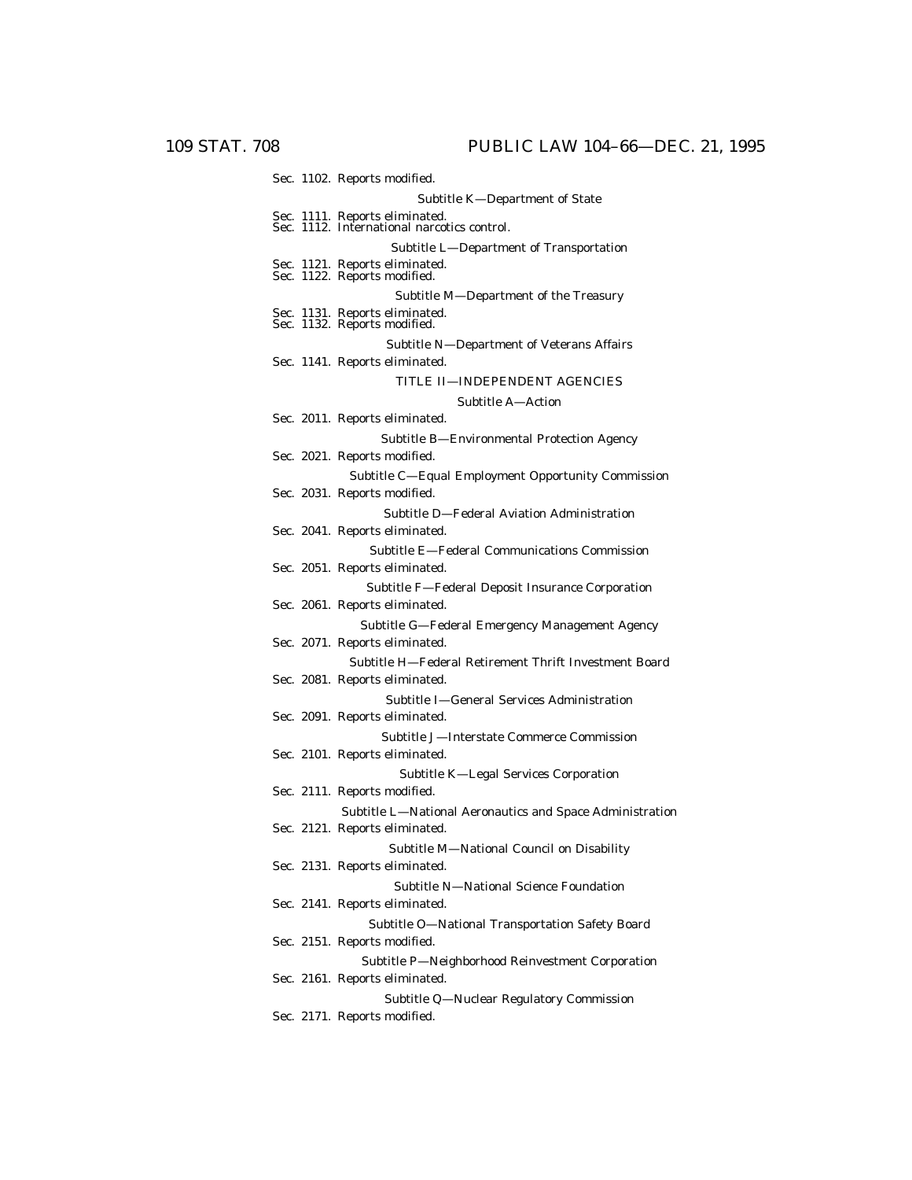| Sec. 1102. Reports modified.                                                  |
|-------------------------------------------------------------------------------|
| Subtitle K-Department of State                                                |
| Sec. 1111. Reports eliminated.<br>Sec. 1112. International narcotics control. |
| Subtitle L-Department of Transportation                                       |
| Sec. 1121. Reports eliminated.<br>Sec. 1122. Reports modified.                |
| Subtitle M-Department of the Treasury                                         |
| Sec. 1131. Reports eliminated.<br>Sec. 1132. Reports modified.                |
| Subtitle N-Department of Veterans Affairs                                     |
| Sec. 1141. Reports eliminated.                                                |
| TITLE II—INDEPENDENT AGENCIES                                                 |
| Subtitle A-Action                                                             |
| Sec. 2011. Reports eliminated.                                                |
| Subtitle B-Environmental Protection Agency                                    |
| Sec. 2021. Reports modified.                                                  |
| Subtitle C-Equal Employment Opportunity Commission                            |
| Sec. 2031. Reports modified.                                                  |
| Subtitle D-Federal Aviation Administration                                    |
| Sec. 2041. Reports eliminated.                                                |
| Subtitle E-Federal Communications Commission                                  |
| Sec. 2051. Reports eliminated.                                                |
| Subtitle F-Federal Deposit Insurance Corporation                              |
| Sec. 2061. Reports eliminated.                                                |
| Subtitle G-Federal Emergency Management Agency                                |
| Sec. 2071. Reports eliminated.                                                |
| Subtitle H-Federal Retirement Thrift Investment Board                         |
| Sec. 2081. Reports eliminated.                                                |
| Subtitle I—General Services Administration<br>Sec. 2091. Reports eliminated.  |
| Subtitle J-Interstate Commerce Commission                                     |
| Sec. 2101. Reports eliminated.                                                |
|                                                                               |
| Subtitle K-Legal Services Corporation<br>Sec. 2111. Reports modified.         |
| Subtitle L-National Aeronautics and Space Administration                      |
| Sec. 2121. Reports eliminated.                                                |
| Subtitle M-National Council on Disability                                     |
| Sec. 2131. Reports eliminated.                                                |
| Subtitle N-National Science Foundation                                        |
| Sec. 2141. Reports eliminated.                                                |
| Subtitle O-National Transportation Safety Board                               |
| Sec. 2151. Reports modified.                                                  |
| Subtitle P-Neighborhood Reinvestment Corporation                              |
| Sec. 2161. Reports eliminated.                                                |
| Subtitle Q-Nuclear Regulatory Commission                                      |
| Sec. 2171. Reports modified.                                                  |
|                                                                               |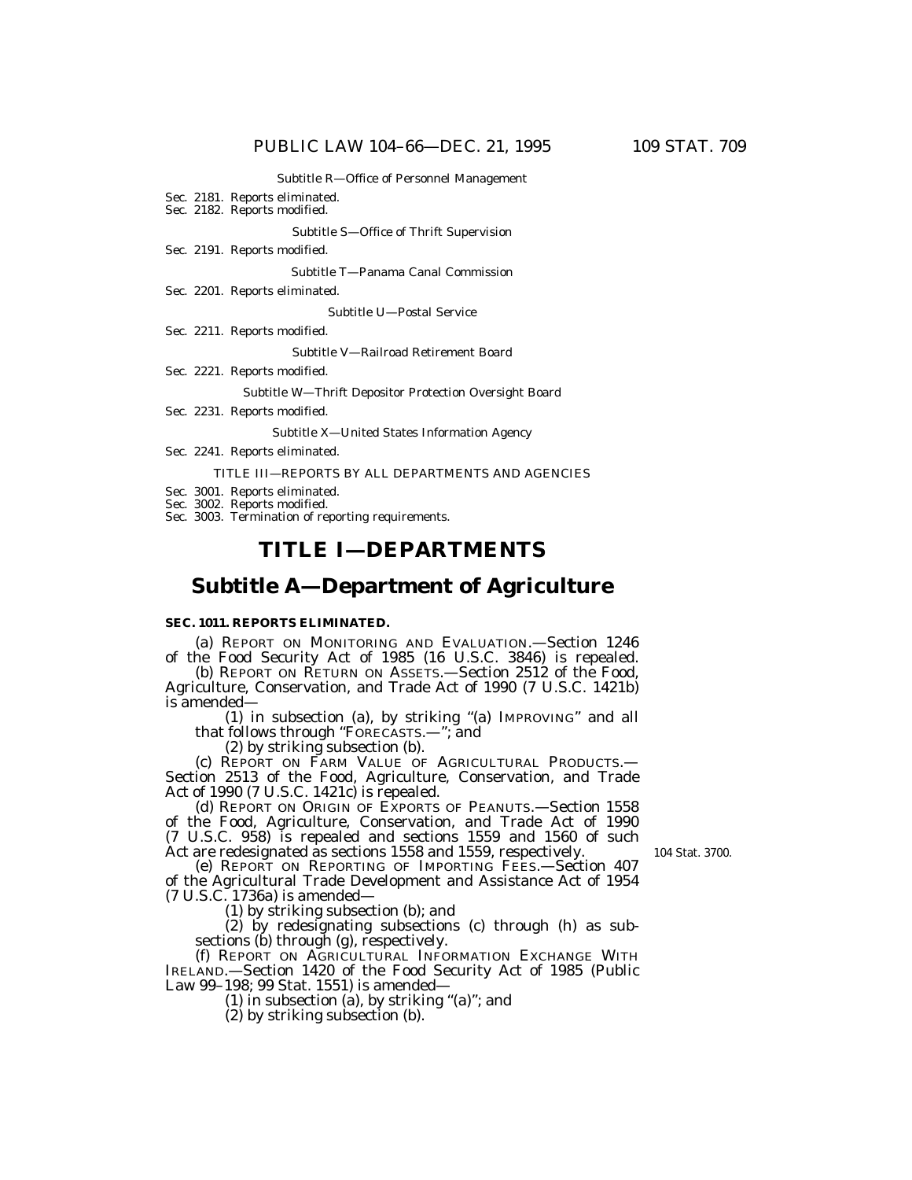#### Subtitle R—Office of Personnel Management

- Sec. 2181. Reports eliminated.
- Sec. 2182. Reports modified.

Subtitle S—Office of Thrift Supervision

Sec. 2191. Reports modified.

Subtitle T—Panama Canal Commission

Sec. 2201. Reports eliminated.

Subtitle U—Postal Service

Sec. 2211. Reports modified.

Subtitle V—Railroad Retirement Board

Sec. 2221. Reports modified.

Subtitle W—Thrift Depositor Protection Oversight Board

Sec. 2231. Reports modified.

Subtitle X—United States Information Agency

Sec. 2241. Reports eliminated.

#### TITLE III—REPORTS BY ALL DEPARTMENTS AND AGENCIES

Sec. 3001. Reports eliminated.

- Sec. 3002. Reports modified.
- Sec. 3003. Termination of reporting requirements.

## **TITLE I—DEPARTMENTS**

## **Subtitle A—Department of Agriculture**

### **SEC. 1011. REPORTS ELIMINATED.**

(a) REPORT ON MONITORING AND EVALUATION.—Section 1246 of the Food Security Act of 1985 (16 U.S.C. 3846) is repealed.

(b) REPORT ON RETURN ON ASSETS.—Section 2512 of the Food, Agriculture, Conservation, and Trade Act of 1990 (7 U.S.C. 1421b) is amended—

(1) in subsection (a), by striking ''(a) IMPROVING'' and all that follows through "FORECASTS.-"; and

(2) by striking subsection (b).

(c) REPORT ON FARM VALUE OF AGRICULTURAL PRODUCTS.— Section 2513 of the Food, Agriculture, Conservation, and Trade Act of 1990 (7 U.S.C. 1421c) is repealed.

(d) REPORT ON ORIGIN OF EXPORTS OF PEANUTS.—Section 1558 of the Food, Agriculture, Conservation, and Trade Act of 1990 (7 U.S.C. 958) is repealed and sections 1559 and 1560 of such Act are redesignated as sections 1558 and 1559, respectively.

104 Stat. 3700.

(e) REPORT ON REPORTING OF IMPORTING FEES.—Section 407 of the Agricultural Trade Development and Assistance Act of 1954 (7 U.S.C. 1736a) is amended—

(1) by striking subsection (b); and

(2) by redesignating subsections (c) through (h) as subsections (b) through (g), respectively.

(f) REPORT ON AGRICULTURAL INFORMATION EXCHANGE WITH IRELAND.—Section 1420 of the Food Security Act of 1985 (Public Law 99–198; 99 Stat. 1551) is amended—

(1) in subsection (a), by striking ''(a)''; and

(2) by striking subsection (b).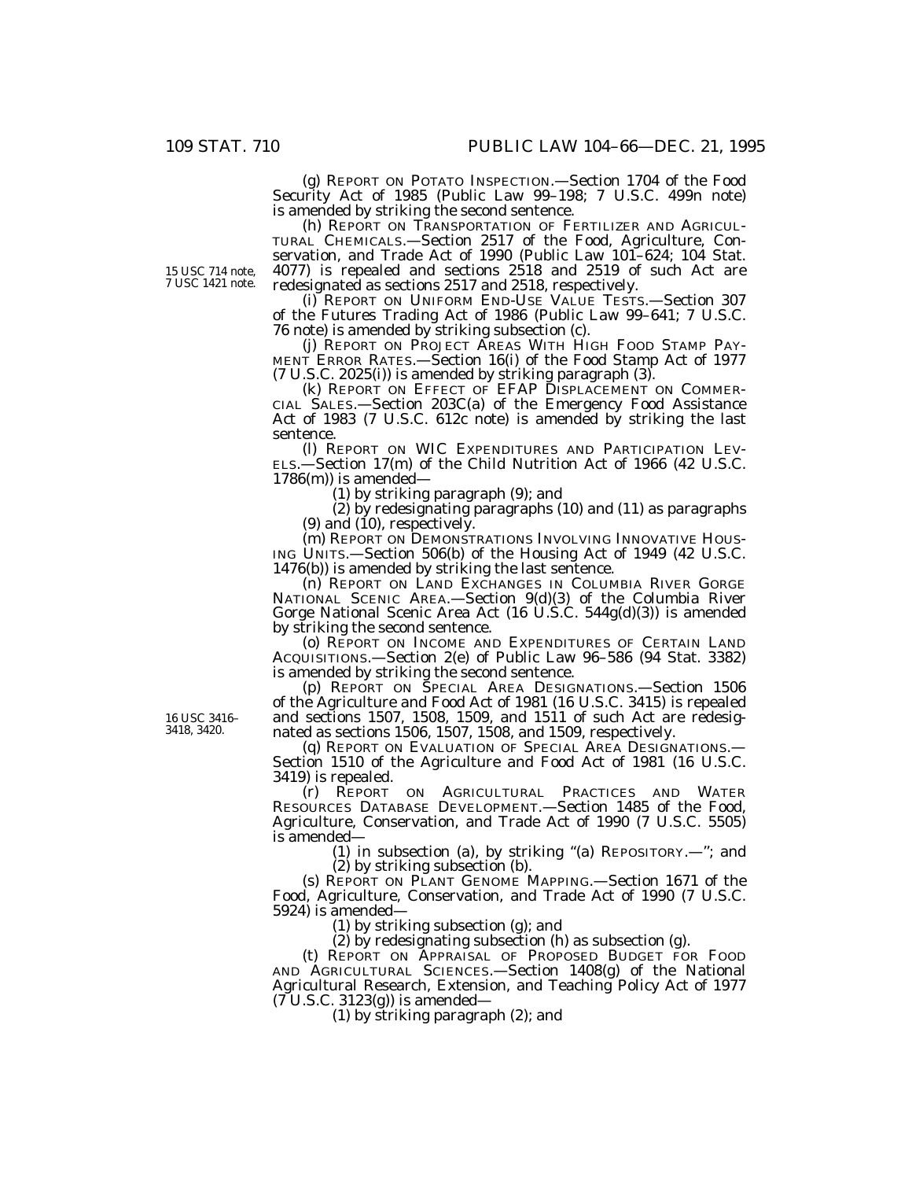(g) REPORT ON POTATO INSPECTION.—Section 1704 of the Food Security Act of 1985 (Public Law 99–198; 7 U.S.C. 499n note) is amended by striking the second sentence. (h) REPORT ON TRANSPORTATION OF FERTILIZER AND AGRICUL-

TURAL CHEMICALS.—Section 2517 of the Food, Agriculture, Conservation, and Trade Act of 1990 (Public Law 101–624; 104 Stat. 4077) is repealed and sections 2518 and 2519 of such Act are redesignated as sections 2517 and 2518, respectively.

(i) REPORT ON UNIFORM END-USE VALUE TESTS.—Section 307 of the Futures Trading Act of 1986 (Public Law 99–641; 7 U.S.C. 76 note) is amended by striking subsection (c).

(j) REPORT ON PROJECT AREAS WITH HIGH FOOD STAMP PAY-MENT ERROR RATES.—Section 16(i) of the Food Stamp Act of 1977 (7 U.S.C. 2025(i)) is amended by striking paragraph (3).

(k) REPORT ON EFFECT OF EFAP DISPLACEMENT ON COMMER-CIAL SALES.—Section 203C(a) of the Emergency Food Assistance Act of 1983 (7 U.S.C. 612c note) is amended by striking the last sentence.

(l) REPORT ON WIC EXPENDITURES AND PARTICIPATION LEV-ELS.—Section 17(m) of the Child Nutrition Act of 1966 (42 U.S.C.  $1786(m)$ ) is amended-

(1) by striking paragraph (9); and

(2) by redesignating paragraphs (10) and (11) as paragraphs (9) and  $(10)$ , respectively.

(m) REPORT ON DEMONSTRATIONS INVOLVING INNOVATIVE HOUS-ING UNITS.—Section 506(b) of the Housing Act of 1949 (42 U.S.C. 1476(b)) is amended by striking the last sentence.

(n) REPORT ON LAND EXCHANGES IN COLUMBIA RIVER GORGE NATIONAL SCENIC AREA.—Section 9(d)(3) of the Columbia River Gorge National Scenic Area Act (16 U.S.C. 544g(d)(3)) is amended by striking the second sentence.

(o) REPORT ON INCOME AND EXPENDITURES OF CERTAIN LAND ACQUISITIONS.—Section 2(e) of Public Law 96–586 (94 Stat. 3382) is amended by striking the second sentence.

(p) REPORT ON SPECIAL AREA DESIGNATIONS.—Section 1506 of the Agriculture and Food Act of 1981 (16 U.S.C. 3415) is repealed and sections 1507, 1508, 1509, and 1511 of such Act are redesignated as sections 1506, 1507, 1508, and 1509, respectively.

(q) REPORT ON EVALUATION OF SPECIAL AREA DESIGNATIONS.— Section 1510 of the Agriculture and Food Act of 1981 (16 U.S.C. 3419) is repealed.

(r) REPORT ON AGRICULTURAL PRACTICES AND WATER RESOURCES DATABASE DEVELOPMENT.—Section 1485 of the Food, Agriculture, Conservation, and Trade Act of 1990 (7 U.S.C. 5505) is amended—

(1) in subsection (a), by striking ''(a) REPOSITORY.—''; and (2) by striking subsection (b).

(s) REPORT ON PLANT GENOME MAPPING.—Section 1671 of the Food, Agriculture, Conservation, and Trade Act of 1990 (7 U.S.C. 5924) is amended—

(1) by striking subsection (g); and

(2) by redesignating subsection (h) as subsection (g).

(t) REPORT ON APPRAISAL OF PROPOSED BUDGET FOR FOOD AND AGRICULTURAL SCIENCES.—Section 1408(g) of the National Agricultural Research, Extension, and Teaching Policy Act of 1977  $(7 \text{ U.S.C. } 3123(g))$  is amended—

(1) by striking paragraph (2); and

16 USC 3416– 3418, 3420.

15 USC 714 note, 7 USC 1421 note.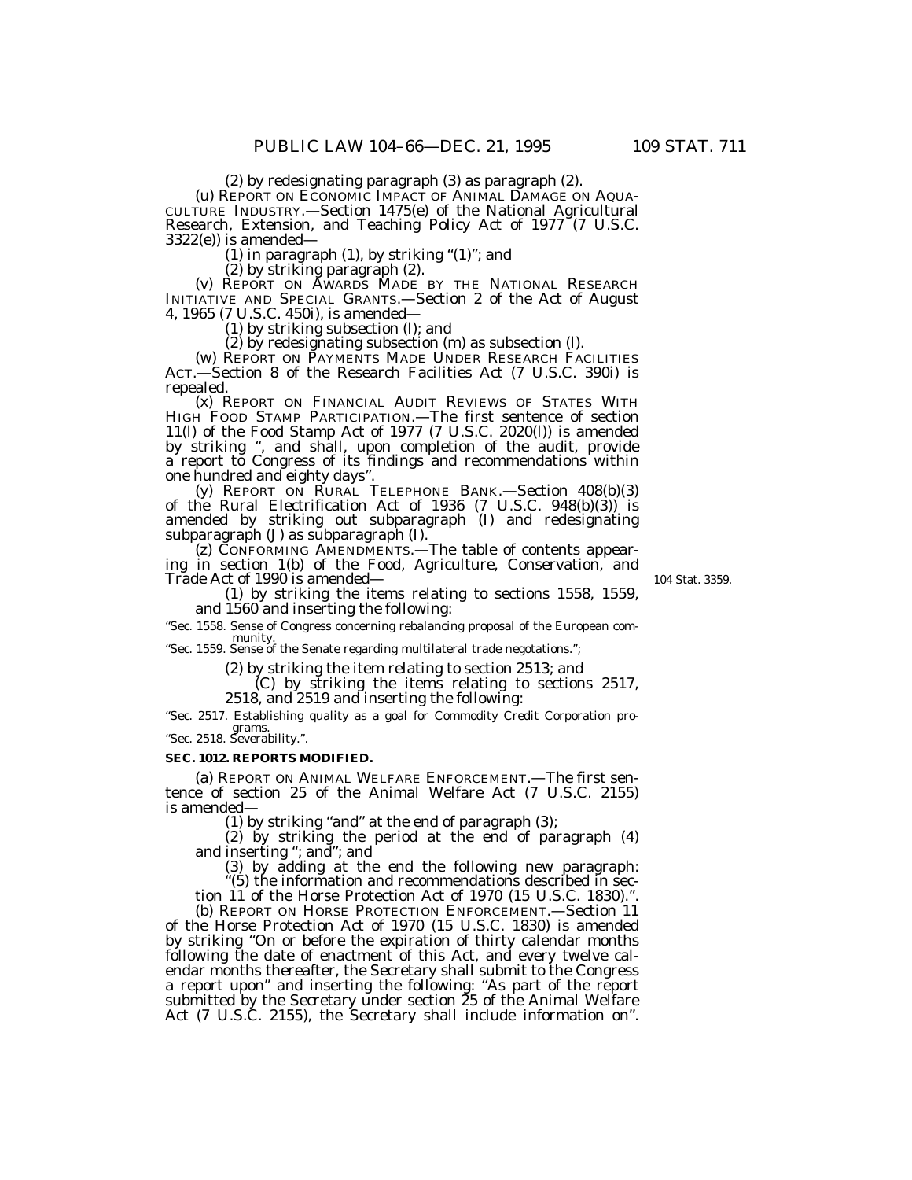(2) by redesignating paragraph (3) as paragraph (2).<br>(u) REPORT ON ECONOMIC IMPACT OF ANIMAL DAMAGE ON AQUA-<br>CULTURE INDUSTRY.—Section 1475(e) of the National Agricultural Research, Extension, and Teaching Policy Act of  $1977^{\circ}(7 \text{ U.S.C.})$  $3322(e)$ ) is amended—

(1) in paragraph  $(1)$ , by striking " $(1)$ "; and

(2) by striking paragraph (2). (v) REPORT ON AWARDS MADE BY THE NATIONAL RESEARCH INITIATIVE AND SPECIAL GRANTS.—Section 2 of the Act of August 4, 1965 (7 U.S.C. 450i), is amended—

(1) by striking subsection (l); and<br>(2) by redesignating subsection (m) as subsection (l).

(w) REPORT ON PAYMENTS MADE UNDER RESEARCH FACILITIES ACT.—Section 8 of the Research Facilities Act (7 U.S.C. 390i) is

(x) REPORT ON FINANCIAL AUDIT REVIEWS OF STATES WITH HIGH FOOD STAMP PARTICIPATION.—The first sentence of section 11(l) of the Food Stamp Act of 1977 (7 U.S.C. 2020(l)) is amended by striking '', and shall, upon completion of the audit, provide a report to Congress of its findings and recommendations within

one hundred and eighty days''. (y) REPORT ON RURAL TELEPHONE BANK.—Section 408(b)(3) of the Rural Electrification Act of 1936 (7 U.S.C. 948(b)(3)) is amended by striking out subparagraph  $(I)$  and redesignating subparagraph  $(J)$  as subparagraph  $(I)$ .

to CONFORMING AMENDMENTS.—The table of contents appearing in section 1(b) of the Food, Agriculture, Conservation, and Trade Act of 1990 is amended—

104 Stat. 3359.

(1) by striking the items relating to sections 1558, 1559, and 1560 and inserting the following:

''Sec. 1558. Sense of Congress concerning rebalancing proposal of the European community.<br>
"Sec. 1559. Sense of the Senate regarding multilateral trade negotations.";

(2) by striking the item relating to section 2513; and (C) by striking the items relating to sections 2517, 2518, and 2519 and inserting the following:

''Sec. 2517. Establishing quality as a goal for Commodity Credit Corporation programs. ''Sec. 2518. Severability.''.

**SEC. 1012. REPORTS MODIFIED.**

(a) REPORT ON ANIMAL WELFARE ENFORCEMENT.—The first sentence of section 25 of the Animal Welfare Act (7 U.S.C. 2155) is amended—

(1) by striking "and" at the end of paragraph (3);<br>(2) by striking the period at the end of paragraph (4)

and inserting "; and"; and inserting ''; and inserting ''; and  $(3)$  by adding at the end the following new paragraph:

''(5) the information and recommendations described in section 11 of the Horse Protection Act of 1970 (15 U.S.C. 1830).'

(b) REPORT ON HORSE PROTECTION ENFORCEMENT.—Section 11 of the Horse Protection Act of 1970 (15 U.S.C. 1830) is amended by striking ''On or before the expiration of thirty calendar months following the date of enactment of this Act, and every twelve calendar months thereafter, the Secretary shall submit to the Congress a report upon'' and inserting the following: ''As part of the report submitted by the Secretary under section 25 of the Animal Welfare Act (7 U.S.C. 2155), the Secretary shall include information on".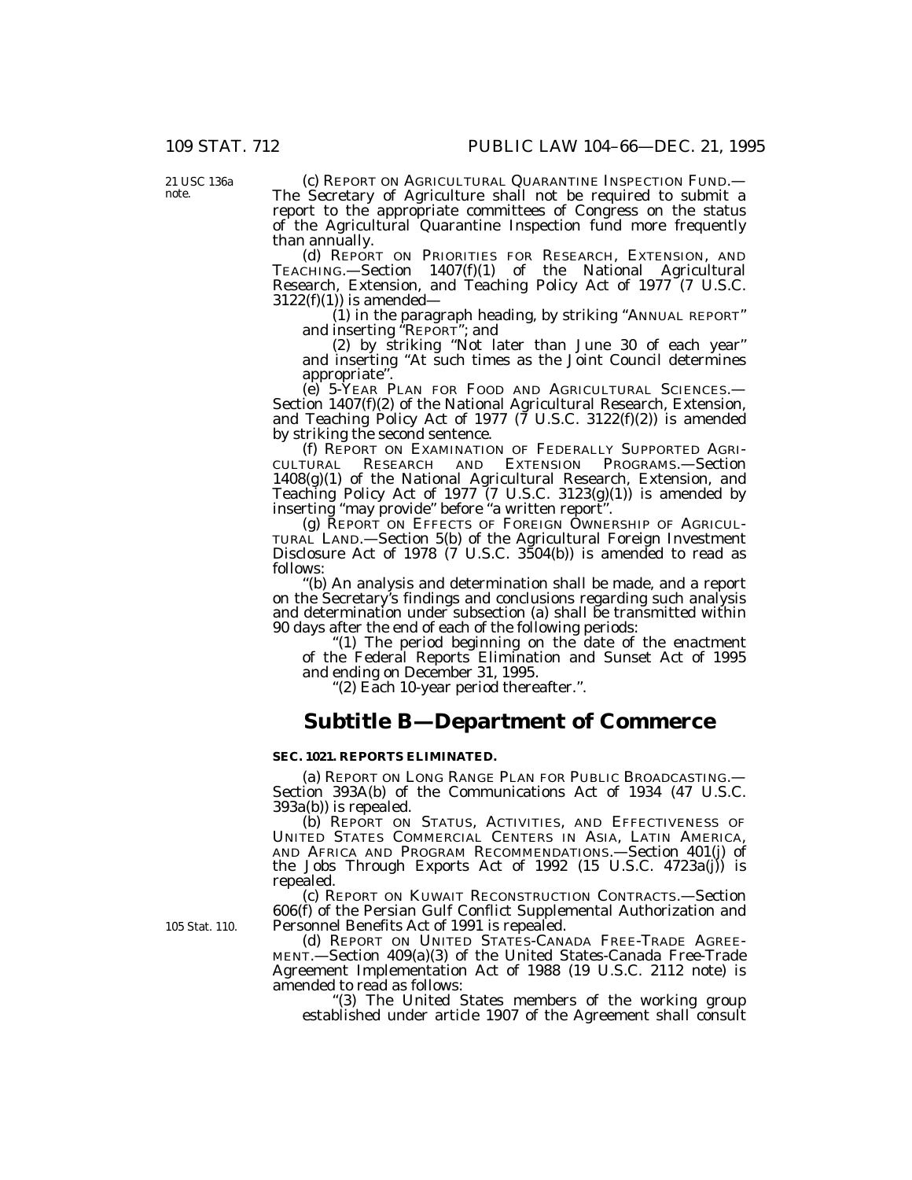21 USC 136a note.

(c) REPORT ON AGRICULTURAL QUARANTINE INSPECTION FUND.— The Secretary of Agriculture shall not be required to submit a report to the appropriate committees of Congress on the status of the Agricultural Quarantine Inspection fund more frequently than annually.

(d) REPORT ON PRIORITIES FOR RESEARCH, EXTENSION, AND TEACHING.—Section 1407(f)(1) of the National Agricultural Research, Extension, and Teaching Policy Act of 1977 (7 U.S.C.  $3122(f)(1)$ ) is amended—

(1) in the paragraph heading, by striking ''ANNUAL REPORT'' and inserting ''REPORT''; and

(2) by striking ''Not later than June 30 of each year'' and inserting ''At such times as the Joint Council determines appropriate''.

(e) 5-YEAR PLAN FOR FOOD AND AGRICULTURAL SCIENCES.— Section 1407(f)(2) of the National Agricultural Research, Extension, and Teaching Policy Act of 1977 ( $\bar{7}$  U.S.C. 3122(f)(2)) is amended by striking the second sentence.

(f) REPORT ON EXAMINATION OF FEDERALLY SUPPORTED AGRI-CULTURAL RESEARCH AND EXTENSION PROGRAMS.—Section 1408(g)(1) of the National Agricultural Research, Extension, and Teaching Policy Act of 1977 (7 U.S.C. 3123(g)(1)) is amended by inserting ''may provide'' before ''a written report''.

(g) REPORT ON EFFECTS OF FOREIGN OWNERSHIP OF AGRICUL-TURAL LAND.—Section 5(b) of the Agricultural Foreign Investment Disclosure Act of 1978 (7 U.S.C. 3504(b)) is amended to read as follows:

''(b) An analysis and determination shall be made, and a report on the Secretary's findings and conclusions regarding such analysis and determination under subsection (a) shall be transmitted within 90 days after the end of each of the following periods:

''(1) The period beginning on the date of the enactment of the Federal Reports Elimination and Sunset Act of 1995 and ending on December 31, 1995.

''(2) Each 10-year period thereafter.''.

## **Subtitle B—Department of Commerce**

### **SEC. 1021. REPORTS ELIMINATED.**

(a) REPORT ON LONG RANGE PLAN FOR PUBLIC BROADCASTING.— Section 393A(b) of the Communications Act of 1934 (47 U.S.C. 393a(b)) is repealed.

(b) REPORT ON STATUS, ACTIVITIES, AND EFFECTIVENESS OF UNITED STATES COMMERCIAL CENTERS IN ASIA, LATIN AMERICA, AND AFRICA AND PROGRAM RECOMMENDATIONS.—Section 401(j) of the Jobs Through Exports Act of 1992  $(15 \text{ U.S.C. } 4723a(j))$  is repealed.

(c) REPORT ON KUWAIT RECONSTRUCTION CONTRACTS.—Section 606(f) of the Persian Gulf Conflict Supplemental Authorization and Personnel Benefits Act of 1991 is repealed.

(d) REPORT ON UNITED STATES-CANADA FREE-TRADE AGREE-MENT.—Section 409(a)(3) of the United States-Canada Free-Trade Agreement Implementation Act of 1988 (19 U.S.C. 2112 note) is amended to read as follows:

'(3) The United States members of the working group established under article 1907 of the Agreement shall consult

105 Stat. 110.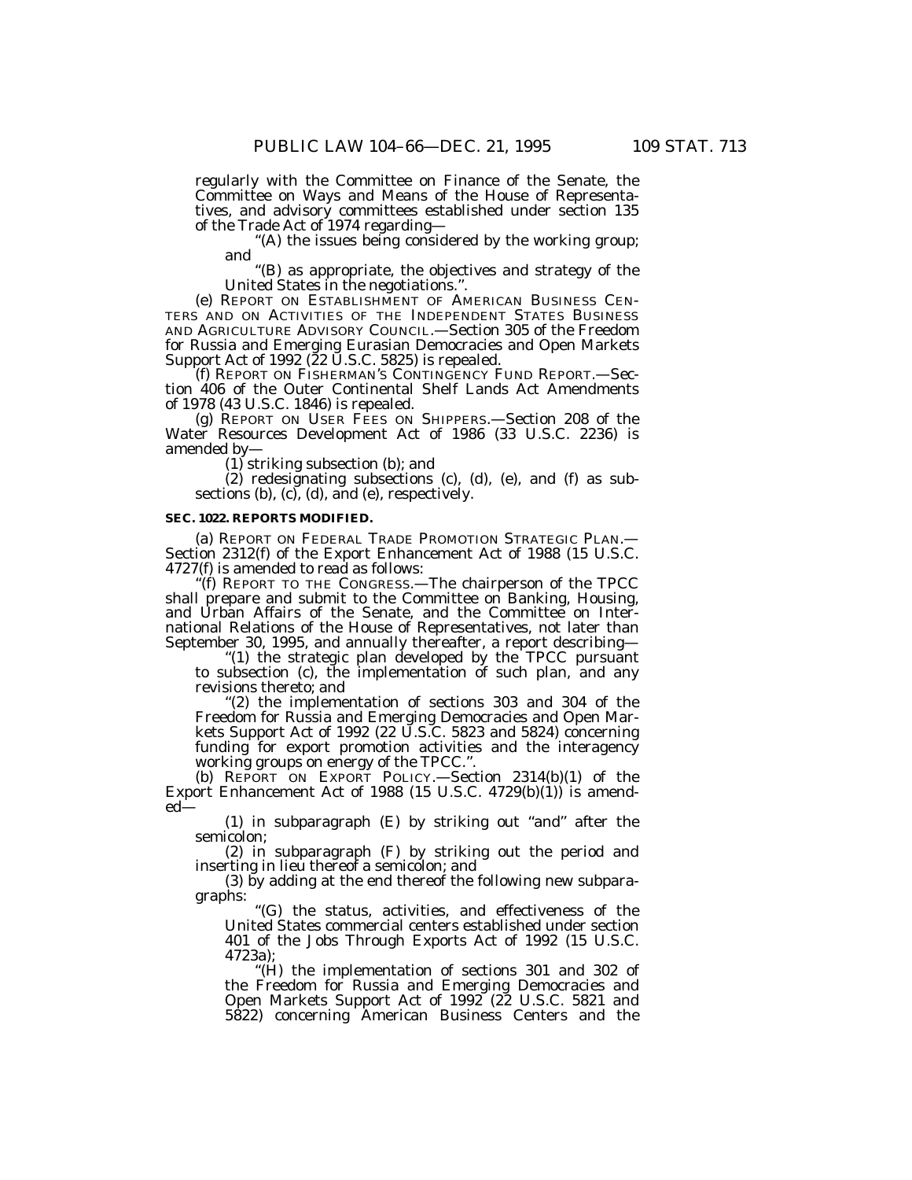regularly with the Committee on Finance of the Senate, the Committee on Ways and Means of the House of Representatives, and advisory committees established under section 135 of the Trade Act of 1974 regarding—

 $(A)$  the issues being considered by the working group; and

''(B) as appropriate, the objectives and strategy of the United States in the negotiations.''.

(e) REPORT ON ESTABLISHMENT OF AMERICAN BUSINESS CEN-TERS AND ON ACTIVITIES OF THE INDEPENDENT STATES BUSINESS AND AGRICULTURE ADVISORY COUNCIL.—Section 305 of the Freedom for Russia and Emerging Eurasian Democracies and Open Markets Support Act of 1992 ( $22$  U.S.C. 5825) is repealed.

(f) REPORT ON FISHERMAN'S CONTINGENCY FUND REPORT.—Section 406 of the Outer Continental Shelf Lands Act Amendments of 1978 (43 U.S.C. 1846) is repealed.

(g) REPORT ON USER FEES ON SHIPPERS.—Section 208 of the Water Resources Development Act of 1986 (33 U.S.C. 2236) is amended by—

(1) striking subsection (b); and

(2) redesignating subsections (c), (d), (e), and (f) as subsections (b), (c), (d), and (e), respectively.

#### **SEC. 1022. REPORTS MODIFIED.**

(a) REPORT ON FEDERAL TRADE PROMOTION STRATEGIC PLAN.— Section 2312(f) of the Export Enhancement Act of 1988 (15 U.S.C. 4727(f) is amended to read as follows:

''(f) REPORT TO THE CONGRESS.—The chairperson of the TPCC shall prepare and submit to the Committee on Banking, Housing, and Urban Affairs of the Senate, and the Committee on International Relations of the House of Representatives, not later than September 30, 1995, and annually thereafter, a report describing—

"(1) the strategic plan developed by the TPCC pursuant to subsection (c), the implementation of such plan, and any revisions thereto; and

"(2) the implementation of sections 303 and 304 of the Freedom for Russia and Emerging Democracies and Open Markets Support Act of 1992 (22 U.S.C. 5823 and 5824) concerning funding for export promotion activities and the interagency working groups on energy of the TPCC.''.

(b) REPORT ON EXPORT POLICY.—Section 2314(b)(1) of the Export Enhancement Act of 1988 (15 U.S.C.  $4729(b)(1)$ ) is amended—

 $(1)$  in subparagraph  $(E)$  by striking out "and" after the semicolon;

(2) in subparagraph (F) by striking out the period and inserting in lieu thereof a semicolon; and

(3) by adding at the end thereof the following new subparagraphs:

''(G) the status, activities, and effectiveness of the United States commercial centers established under section 401 of the Jobs Through Exports Act of 1992 (15 U.S.C. 4723a);

''(H) the implementation of sections 301 and 302 of the Freedom for Russia and Emerging Democracies and Open Markets Support Act of 1992 (22 U.S.C. 5821 and 5822) concerning American Business Centers and the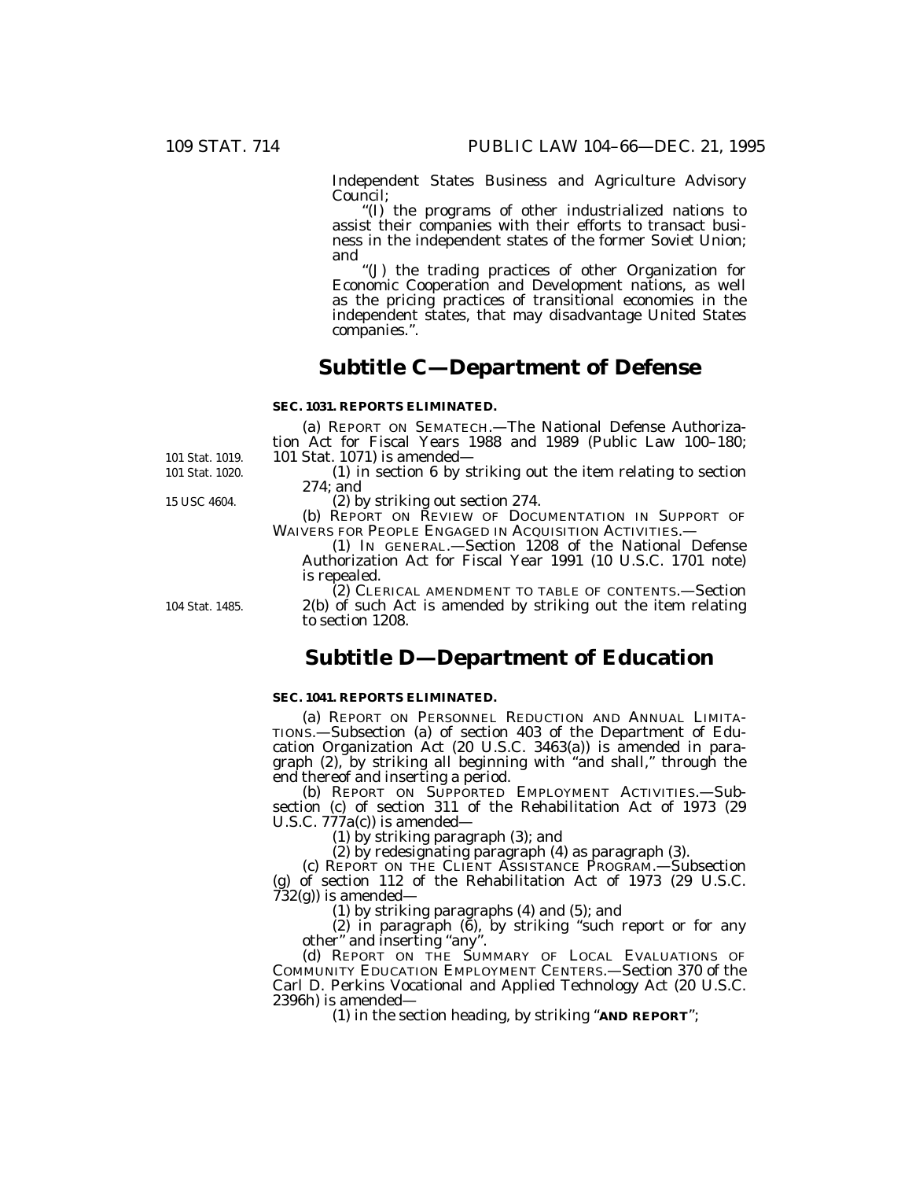Independent States Business and Agriculture Advisory Council;

''(I) the programs of other industrialized nations to assist their companies with their efforts to transact business in the independent states of the former Soviet Union; and

''(J) the trading practices of other Organization for Economic Cooperation and Development nations, as well as the pricing practices of transitional economies in the independent states, that may disadvantage United States companies.''.

# **Subtitle C—Department of Defense**

### **SEC. 1031. REPORTS ELIMINATED.**

(a) REPORT ON SEMATECH.—The National Defense Authorization Act for Fiscal Years 1988 and 1989 (Public Law 100–180; 101 Stat. 1071) is amended—

(1) in section 6 by striking out the item relating to section 274; and

15 USC 4604.

101 Stat. 1020. 101 Stat. 1019.

104 Stat. 1485.

(2) by striking out section 274.

(b) REPORT ON REVIEW OF DOCUMENTATION IN SUPPORT OF WAIVERS FOR PEOPLE ENGAGED IN ACQUISITION ACTIVITIES.—

(1) IN GENERAL.—Section 1208 of the National Defense Authorization Act for Fiscal Year 1991 (10 U.S.C. 1701 note) is repealed.

(2) CLERICAL AMENDMENT TO TABLE OF CONTENTS.—Section 2(b) of such Act is amended by striking out the item relating to section 1208.

## **Subtitle D—Department of Education**

### **SEC. 1041. REPORTS ELIMINATED.**

(a) REPORT ON PERSONNEL REDUCTION AND ANNUAL LIMITA-TIONS.—Subsection (a) of section 403 of the Department of Education Organization Act (20 U.S.C. 3463(a)) is amended in paragraph (2), by striking all beginning with ''and shall,'' through the end thereof and inserting a period.

(b) REPORT ON SUPPORTED EMPLOYMENT ACTIVITIES.—Subsection (c) of section 311 of the Rehabilitation Act of 1973 (29 U.S.C. 777a(c)) is amended—

(1) by striking paragraph (3); and

(2) by redesignating paragraph (4) as paragraph (3).

(c) REPORT ON THE CLIENT ASSISTANCE PROGRAM.—Subsection (g) of section 112 of the Rehabilitation Act of 1973 (29 U.S.C. 732(g)) is amended—

(1) by striking paragraphs (4) and (5); and

(2) in paragraph (6), by striking ''such report or for any other" and inserting "any".

(d) REPORT ON THE SUMMARY OF LOCAL EVALUATIONS OF COMMUNITY EDUCATION EMPLOYMENT CENTERS.—Section 370 of the Carl D. Perkins Vocational and Applied Technology Act (20 U.S.C. 2396h) is amended—

(1) in the section heading, by striking ''**AND REPORT**'';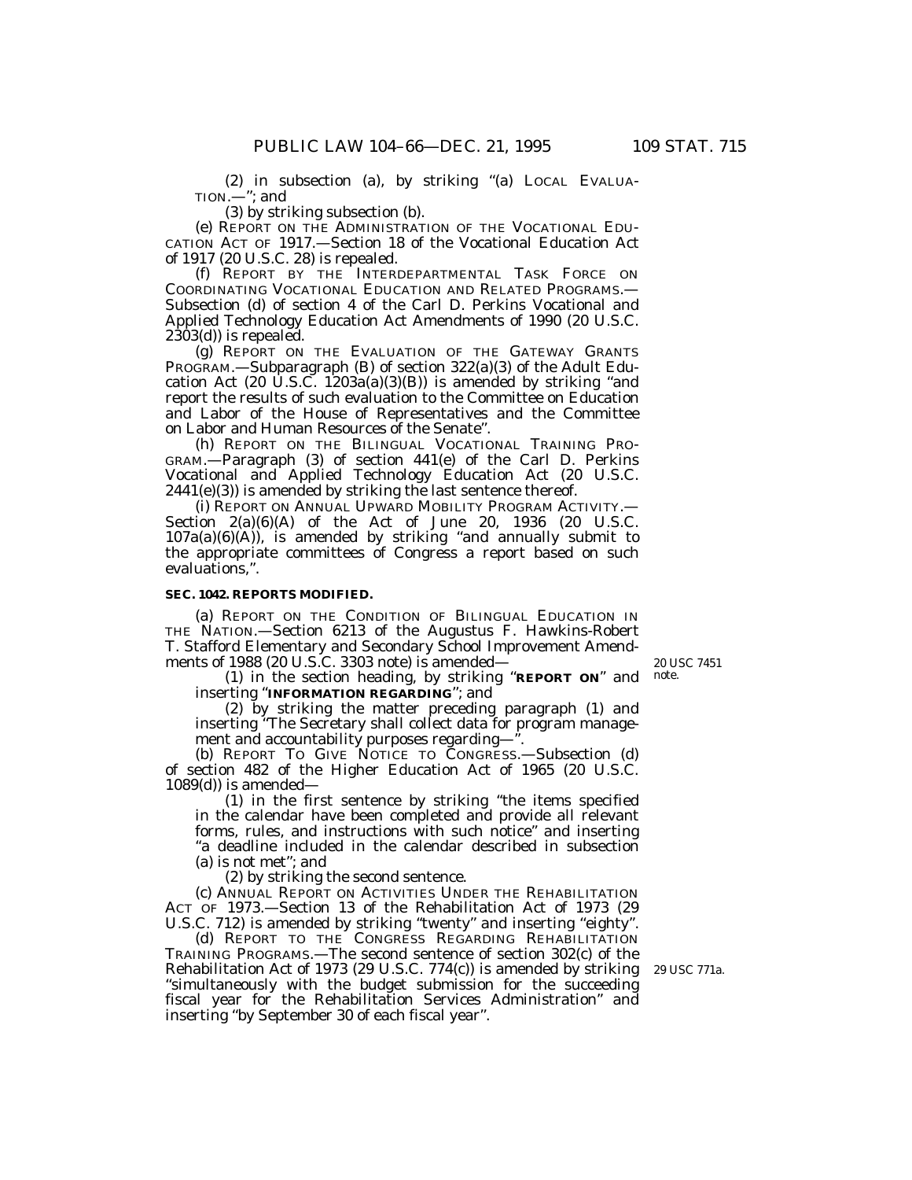(2) in subsection (a), by striking ''(a) LOCAL EVALUA-TION.—''; and

(3) by striking subsection (b).

(e) REPORT ON THE ADMINISTRATION OF THE VOCATIONAL EDU-CATION ACT OF 1917.—Section 18 of the Vocational Education Act of 1917 (20 U.S.C. 28) is repealed.

(f) REPORT BY THE INTERDEPARTMENTAL TASK FORCE ON COORDINATING VOCATIONAL EDUCATION AND RELATED PROGRAMS.— Subsection (d) of section 4 of the Carl D. Perkins Vocational and Applied Technology Education Act Amendments of 1990 (20 U.S.C.  $2\bar{3}03(d)$  is repealed.

(g) REPORT ON THE EVALUATION OF THE GATEWAY GRANTS PROGRAM.—Subparagraph (B) of section 322(a)(3) of the Adult Education Act  $(20 \text{ U.S.C. } 1203a(a)(3)(B))$  is amended by striking "and report the results of such evaluation to the Committee on Education and Labor of the House of Representatives and the Committee on Labor and Human Resources of the Senate''.

(h) REPORT ON THE BILINGUAL VOCATIONAL TRAINING PRO-GRAM.—Paragraph (3) of section 441(e) of the Carl D. Perkins Vocational and Applied Technology Education Act (20 U.S.C.  $2441(e)(3)$ ) is amended by striking the last sentence thereof.

(i) REPORT ON ANNUAL UPWARD MOBILITY PROGRAM ACTIVITY.— Section  $2(a)(6)(A)$  of the Act of June 20, 1936 (20 U.S.C.  $107a(a)(6)(A)$ , is amended by striking "and annually submit to the appropriate committees of Congress a report based on such evaluations,''.

### **SEC. 1042. REPORTS MODIFIED.**

(a) REPORT ON THE CONDITION OF BILINGUAL EDUCATION IN THE NATION.—Section 6213 of the Augustus F. Hawkins-Robert T. Stafford Elementary and Secondary School Improvement Amendments of 1988 (20 U.S.C. 3303 note) is amended—

20 USC 7451

(1) in the section heading, by striking ''**REPORT ON**'' and note. inserting ''**INFORMATION REGARDING**''; and

(2) by striking the matter preceding paragraph (1) and inserting ''The Secretary shall collect data for program management and accountability purposes regarding—''.

(b) REPORT TO GIVE NOTICE TO CONGRESS.—Subsection (d) of section 482 of the Higher Education Act of 1965 (20 U.S.C.  $1089(d)$  is amended–

(1) in the first sentence by striking ''the items specified in the calendar have been completed and provide all relevant forms, rules, and instructions with such notice'' and inserting "a deadline included in the calendar described in subsection (a) is not met''; and

(2) by striking the second sentence.

(c) ANNUAL REPORT ON ACTIVITIES UNDER THE REHABILITATION ACT OF 1973.—Section 13 of the Rehabilitation Act of 1973 (29 U.S.C. 712) is amended by striking "twenty" and inserting "eighty".

(d) REPORT TO THE CONGRESS REGARDING REHABILITATION TRAINING PROGRAMS.—The second sentence of section 302(c) of the Rehabilitation Act of 1973 (29 U.S.C. 774(c)) is amended by striking 29 USC 771a. ''simultaneously with the budget submission for the succeeding fiscal year for the Rehabilitation Services Administration'' and inserting ''by September 30 of each fiscal year''.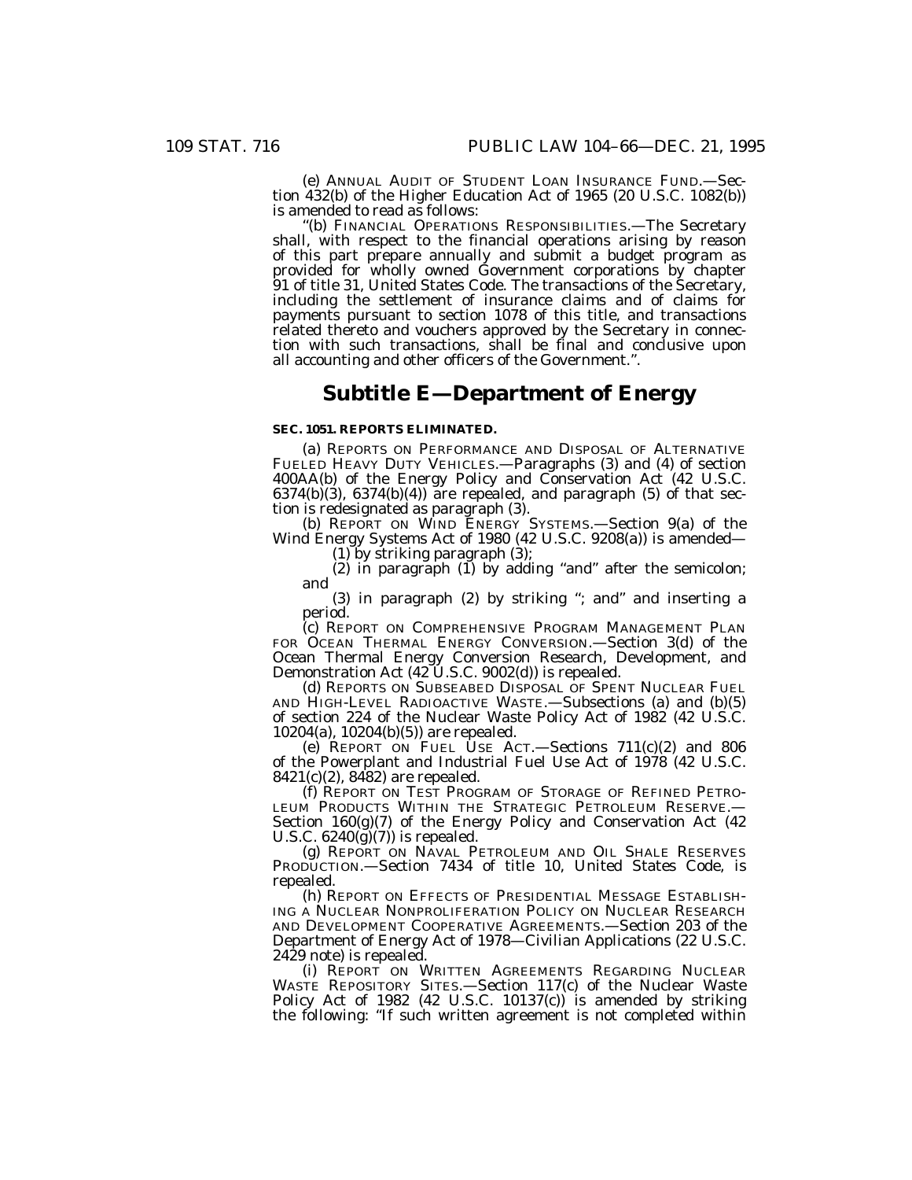(e) ANNUAL AUDIT OF STUDENT LOAN INSURANCE FUND.—Section 432(b) of the Higher Education Act of 1965 (20 U.S.C. 1082(b)) is amended to read as follows:

(b) FINANCIAL OPERATIONS RESPONSIBILITIES. - The Secretary shall, with respect to the financial operations arising by reason of this part prepare annually and submit a budget program as provided for wholly owned Government corporations by chapter 91 of title 31, United States Code. The transactions of the Secretary, including the settlement of insurance claims and of claims for payments pursuant to section 1078 of this title, and transactions related thereto and vouchers approved by the Secretary in connection with such transactions, shall be final and conclusive upon all accounting and other officers of the Government.''.

## **Subtitle E—Department of Energy**

### **SEC. 1051. REPORTS ELIMINATED.**

(a) REPORTS ON PERFORMANCE AND DISPOSAL OF ALTERNATIVE FUELED HEAVY DUTY VEHICLES.—Paragraphs (3) and (4) of section 400AA(b) of the Energy Policy and Conservation Act (42 U.S.C.  $6374(b)(3)$ ,  $6374(b)(4)$  are repealed, and paragraph  $(5)$  of that section is redesignated as paragraph (3).

(b) REPORT ON WIND ENERGY SYSTEMS.—Section 9(a) of the Wind Energy Systems Act of 1980 (42 U.S.C. 9208(a)) is amended— (1) by striking paragraph (3);

 $(2)$  in paragraph  $(1)$  by adding "and" after the semicolon; and

(3) in paragraph (2) by striking ''; and'' and inserting a period.

(c) REPORT ON COMPREHENSIVE PROGRAM MANAGEMENT PLAN FOR OCEAN THERMAL ENERGY CONVERSION.—Section 3(d) of the Ocean Thermal Energy Conversion Research, Development, and Demonstration Act  $(42 \tilde{U}$ .S.C. 9002(d)) is repealed.

(d) REPORTS ON SUBSEABED DISPOSAL OF SPENT NUCLEAR FUEL AND HIGH-LEVEL RADIOACTIVE WASTE.—Subsections (a) and (b)(5) of section 224 of the Nuclear Waste Policy Act of 1982 (42 U.S.C. 10204(a), 10204(b)(5)) are repealed.

(e) REPORT ON FUEL USE ACT.—Sections  $711(c)(2)$  and  $806$ of the Powerplant and Industrial Fuel Use Act of 1978 (42 U.S.C. 8421(c)(2), 8482) are repealed.

(f) REPORT ON TEST PROGRAM OF STORAGE OF REFINED PETRO-LEUM PRODUCTS WITHIN THE STRATEGIC PETROLEUM RESERVE.-Section 160(g)(7) of the Energy Policy and Conservation Act (42 U.S.C.  $6240(\tilde{g})(7)$  is repealed.

(g) REPORT ON NAVAL PETROLEUM AND OIL SHALE RESERVES PRODUCTION.—Section 7434 of title 10, United States Code, is repealed.

(h) REPORT ON EFFECTS OF PRESIDENTIAL MESSAGE ESTABLISH-ING A NUCLEAR NONPROLIFERATION POLICY ON NUCLEAR RESEARCH AND DEVELOPMENT COOPERATIVE AGREEMENTS.—Section 203 of the Department of Energy Act of 1978—Civilian Applications (22 U.S.C. 2429 note) is repealed.

(i) REPORT ON WRITTEN AGREEMENTS REGARDING NUCLEAR WASTE REPOSITORY SITES.—Section 117(c) of the Nuclear Waste Policy Act of 1982 (42 U.S.C. 10137(c)) is amended by striking the following: ''If such written agreement is not completed within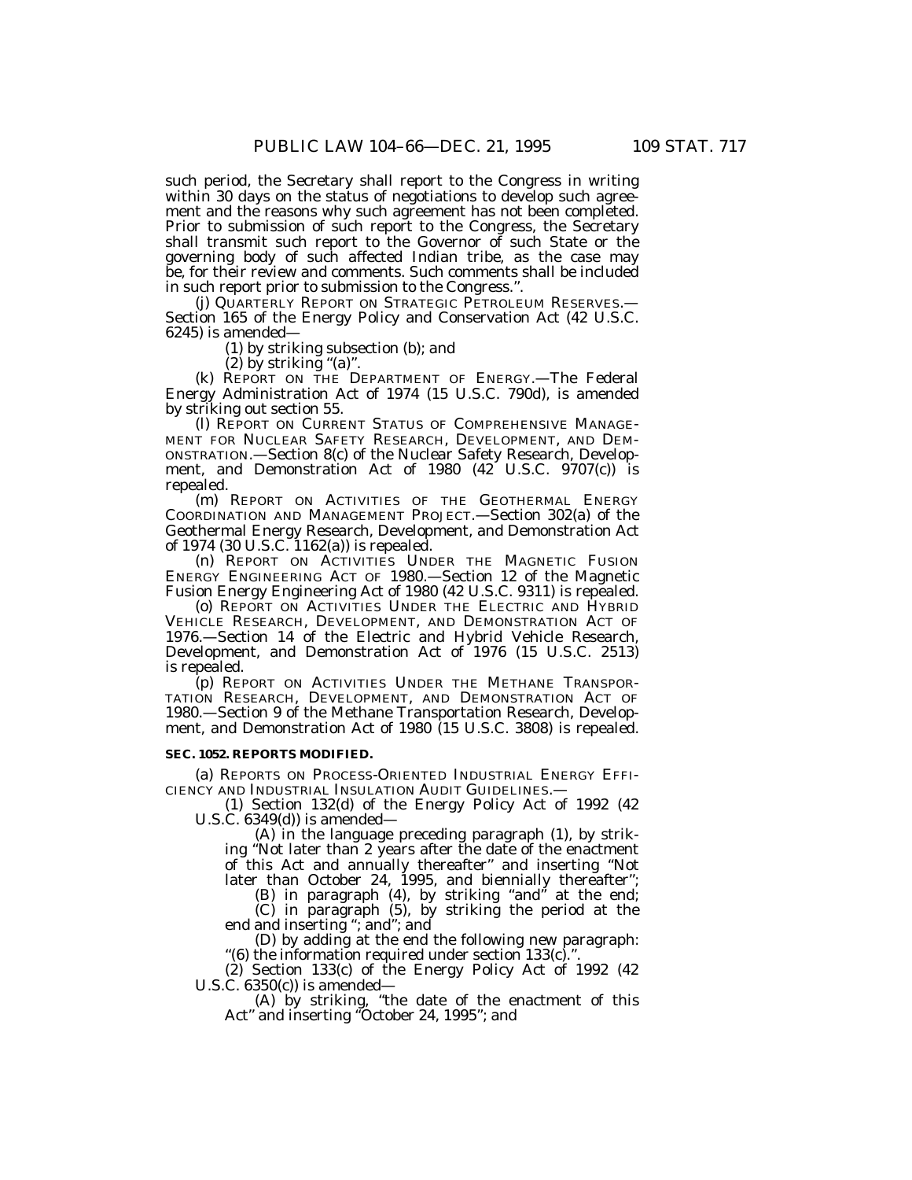such period, the Secretary shall report to the Congress in writing within 30 days on the status of negotiations to develop such agreement and the reasons why such agreement has not been completed. Prior to submission of such report to the Congress, the Secretary shall transmit such report to the Governor of such State or the governing body of such affected Indian tribe, as the case may be, for their review and comments. Such comments shall be included in such report prior to submission to the Congress.''.

(j) QUARTERLY REPORT ON STRATEGIC PETROLEUM RESERVES.— Section 165 of the Energy Policy and Conservation Act (42 U.S.C. 6245) is amended—

(1) by striking subsection (b); and

 $(2)$  by striking " $(a)$ ".

(k) REPORT ON THE DEPARTMENT OF ENERGY.—The Federal Energy Administration Act of 1974 (15 U.S.C. 790d), is amended by striking out section 55.

(l) REPORT ON CURRENT STATUS OF COMPREHENSIVE MANAGE-MENT FOR NUCLEAR SAFETY RESEARCH, DEVELOPMENT, AND DEM-ONSTRATION.—Section 8(c) of the Nuclear Safety Research, Development, and Demonstration Act of 1980 (42<sup>'</sup> U.S.C. 9707(c)) is repealed.

(m) REPORT ON ACTIVITIES OF THE GEOTHERMAL ENERGY COORDINATION AND MANAGEMENT PROJECT.—Section 302(a) of the Geothermal Energy Research, Development, and Demonstration Act of 1974 (30 U.S.C. 1162(a)) is repealed.

(n) REPORT ON ACTIVITIES UNDER THE MAGNETIC FUSION ENERGY ENGINEERING ACT OF 1980.—Section 12 of the Magnetic Fusion Energy Engineering Act of 1980 (42 U.S.C. 9311) is repealed.

(o) REPORT ON ACTIVITIES UNDER THE ELECTRIC AND HYBRID VEHICLE RESEARCH, DEVELOPMENT, AND DEMONSTRATION ACT OF 1976.—Section 14 of the Electric and Hybrid Vehicle Research, Development, and Demonstration Act of 1976 (15 U.S.C. 2513) is repealed.

(p) REPORT ON ACTIVITIES UNDER THE METHANE TRANSPOR-TATION RESEARCH, DEVELOPMENT, AND DEMONSTRATION ACT OF 1980.—Section 9 of the Methane Transportation Research, Development, and Demonstration Act of 1980 (15 U.S.C. 3808) is repealed.

#### **SEC. 1052. REPORTS MODIFIED.**

(a) REPORTS ON PROCESS-ORIENTED INDUSTRIAL ENERGY EFFI-CIENCY AND INDUSTRIAL INSULATION AUDIT GUIDELINES.—

(1) Section 132(d) of the Energy Policy Act of 1992 (42 U.S.C. 6349(d)) is amended—

(A) in the language preceding paragraph (1), by striking ''Not later than 2 years after the date of the enactment of this Act and annually thereafter'' and inserting ''Not later than October 24, 1995, and biennially thereafter'';

(B) in paragraph (4), by striking "and" at the end;

(C) in paragraph (5), by striking the period at the end and inserting ''; and''; and

(D) by adding at the end the following new paragraph: "(6) the information required under section  $133(c)$ ."

(2) Section 133(c) of the Energy Policy Act of 1992 (42 U.S.C. 6350(c)) is amended—

(A) by striking, ''the date of the enactment of this Act'' and inserting ''October 24, 1995''; and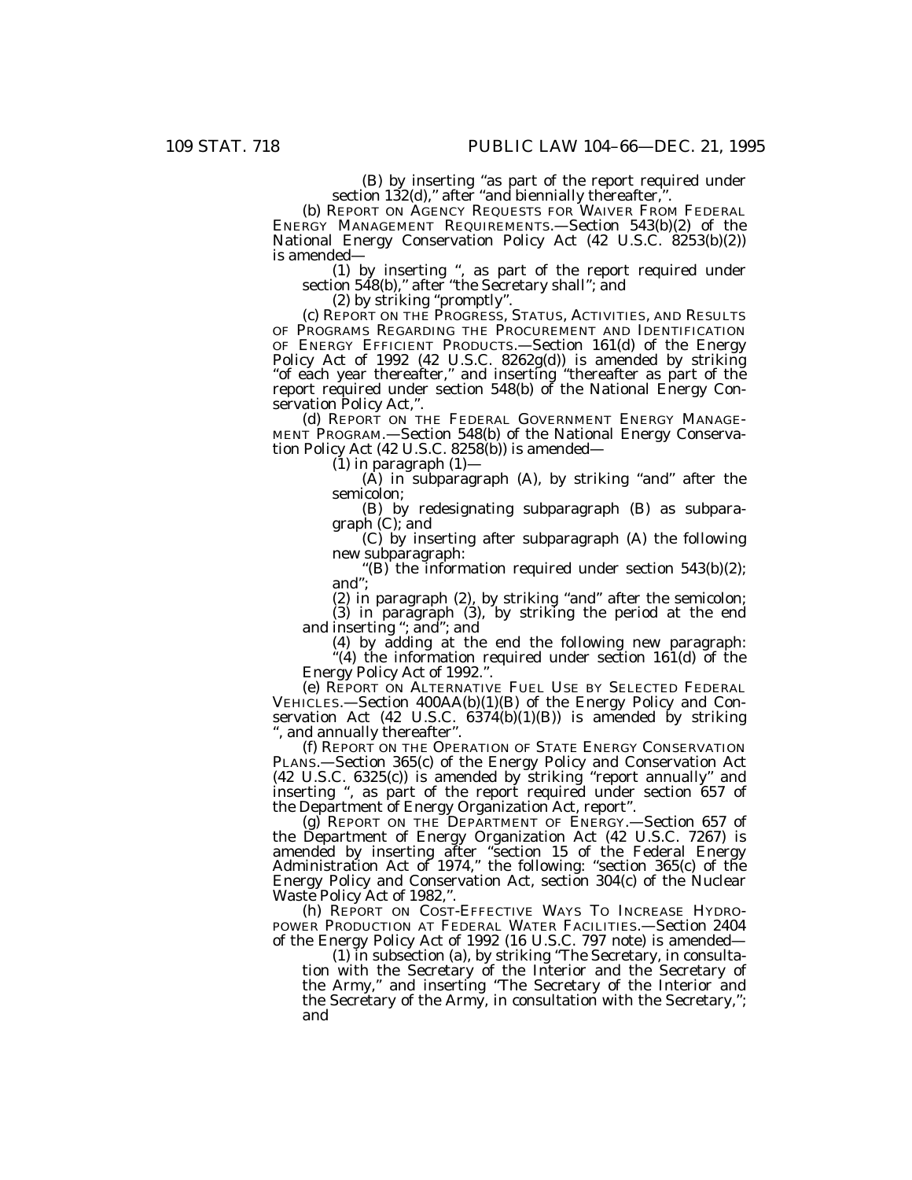(B) by inserting "as part of the report required under section 132(d)," after "and biennially thereafter,".<br>(b) REPORT ON AGENCY REQUESTS FOR WAIVER FROM FEDERAL

ENERGY MANAGEMENT REQUIREMENTS.—Section 543(b)(2) of the National Energy Conservation Policy Act (42 U.S.C. 8253(b)(2)) is amended—

(1) by inserting '', as part of the report required under section 548(b),'' after ''the Secretary shall''; and

(2) by striking ''promptly''.

(c) REPORT ON THE PROGRESS, STATUS, ACTIVITIES, AND RESULTS OF PROGRAMS REGARDING THE PROCUREMENT AND IDENTIFICATION OF ENERGY EFFICIENT PRODUCTS.—Section 161(d) of the Energy Policy Act of 1992 (42 U.S.C. 8262g(d)) is amended by striking "of each year thereafter," and inserting "thereafter as part of the report required under section 548(b) of the National Energy Conservation Policy Act,".

(d) REPORT ON THE FEDERAL GOVERNMENT ENERGY MANAGE-MENT PROGRAM.—Section 548(b) of the National Energy Conservation Policy Act (42 U.S.C. 8258(b)) is amended—

 $(1)$  in paragraph  $(1)$ –

 $(A)$  in subparagraph  $(A)$ , by striking "and" after the semicolon;

(B) by redesignating subparagraph (B) as subparagraph (C); and

(C) by inserting after subparagraph (A) the following new subparagraph:

"(B) the information required under section  $543(b)(2)$ ; and'';

(2) in paragraph (2), by striking "and" after the semicolon; (3) in paragraph (3), by striking the period at the end

and inserting ''; and''; and (4) by adding at the end the following new paragraph:

''(4) the information required under section 161(d) of the Energy Policy Act of 1992.''.

(e) REPORT ON ALTERNATIVE FUEL USE BY SELECTED FEDERAL VEHICLES.—Section 400AA(b)(1)(B) of the Energy Policy and Conservation Act  $(42 \text{ U.S.C. } 6374(b)(1)(B))$  is amended by striking '', and annually thereafter''.

(f) REPORT ON THE OPERATION OF STATE ENERGY CONSERVATION PLANS.—Section 365(c) of the Energy Policy and Conservation Act (42 U.S.C. 6325(c)) is amended by striking ''report annually'' and inserting '', as part of the report required under section 657 of the Department of Energy Organization Act, report''.

(g) REPORT ON THE DEPARTMENT OF ENERGY.—Section 657 of the Department of Energy Organization Act (42 U.S.C. 7267) is amended by inserting after ''section 15 of the Federal Energy Administration Act of 1974,'' the following: ''section 365(c) of the Energy Policy and Conservation Act, section 304(c) of the Nuclear Waste Policy Act of 1982,".

(h) REPORT ON COST-EFFECTIVE WAYS TO INCREASE HYDRO-POWER PRODUCTION AT FEDERAL WATER FACILITIES.—Section 2404 of the Energy Policy Act of 1992 (16 U.S.C. 797 note) is amended—

(1) in subsection (a), by striking ''The Secretary, in consultation with the Secretary of the Interior and the Secretary of the Army," and inserting "The Secretary of the Interior and the Secretary of the Army, in consultation with the Secretary,''; and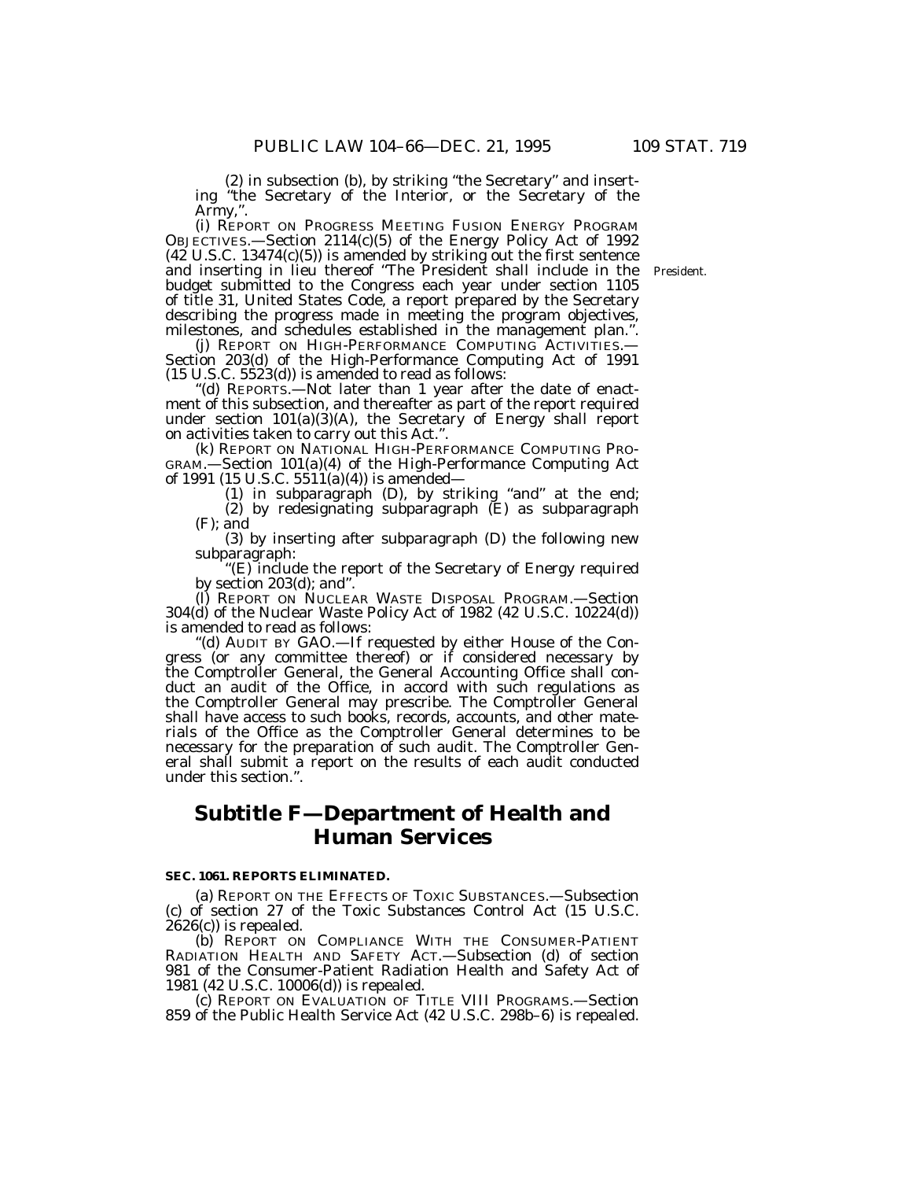(2) in subsection (b), by striking ''the Secretary'' and inserting ''the Secretary of the Interior, or the Secretary of the Army,''.

(i) REPORT ON PROGRESS MEETING FUSION ENERGY PROGRAM OBJECTIVES.—Section 2114(c)(5) of the Energy Policy Act of 1992  $(42 \text{ U.S.C. } 13474 \text{ (c)}(5))$  is amended by striking out the first sentence and inserting in lieu thereof ''The President shall include in the budget submitted to the Congress each year under section 1105 of title 31, United States Code, a report prepared by the Secretary describing the progress made in meeting the program objectives, milestones, and schedules established in the management plan.''.

(j) REPORT ON HIGH-PERFORMANCE COMPUTING ACTIVITIES.— Section 203(d) of the High-Performance Computing Act of 1991 (15 U.S.C. 5523(d)) is amended to read as follows:

''(d) REPORTS.—Not later than 1 year after the date of enactment of this subsection, and thereafter as part of the report required under section 101(a)(3)(A), the Secretary of Energy shall report on activities taken to carry out this Act.''.

(k) REPORT ON NATIONAL HIGH-PERFORMANCE COMPUTING PRO-GRAM.—Section 101(a)(4) of the High-Performance Computing Act of 1991 (15 U.S.C. 5511(a)(4)) is amended—

(1) in subparagraph (D), by striking ''and'' at the end; (2) by redesignating subparagraph (E) as subparagraph (F); and

(3) by inserting after subparagraph (D) the following new subparagraph:

''(E) include the report of the Secretary of Energy required by section 203(d); and''.

(l) REPORT ON NUCLEAR WASTE DISPOSAL PROGRAM.—Section 304(d) of the Nuclear Waste Policy Act of 1982 (42 U.S.C. 10224(d)) is amended to read as follows:

''(d) AUDIT BY GAO.—If requested by either House of the Congress (or any committee thereof) or if considered necessary by the Comptroller General, the General Accounting Office shall conduct an audit of the Office, in accord with such regulations as the Comptroller General may prescribe. The Comptroller General shall have access to such books, records, accounts, and other materials of the Office as the Comptroller General determines to be necessary for the preparation of such audit. The Comptroller General shall submit a report on the results of each audit conducted under this section.''.

# **Subtitle F—Department of Health and Human Services**

### **SEC. 1061. REPORTS ELIMINATED.**

(a) REPORT ON THE EFFECTS OF TOXIC SUBSTANCES.—Subsection (c) of section 27 of the Toxic Substances Control Act (15 U.S.C. 2626(c)) is repealed.

(b) REPORT ON COMPLIANCE WITH THE CONSUMER-PATIENT RADIATION HEALTH AND SAFETY ACT.—Subsection (d) of section 981 of the Consumer-Patient Radiation Health and Safety Act of 1981 (42 U.S.C. 10006(d)) is repealed.

(c) REPORT ON EVALUATION OF TITLE VIII PROGRAMS.—Section 859 of the Public Health Service Act (42 U.S.C. 298b–6) is repealed.

President.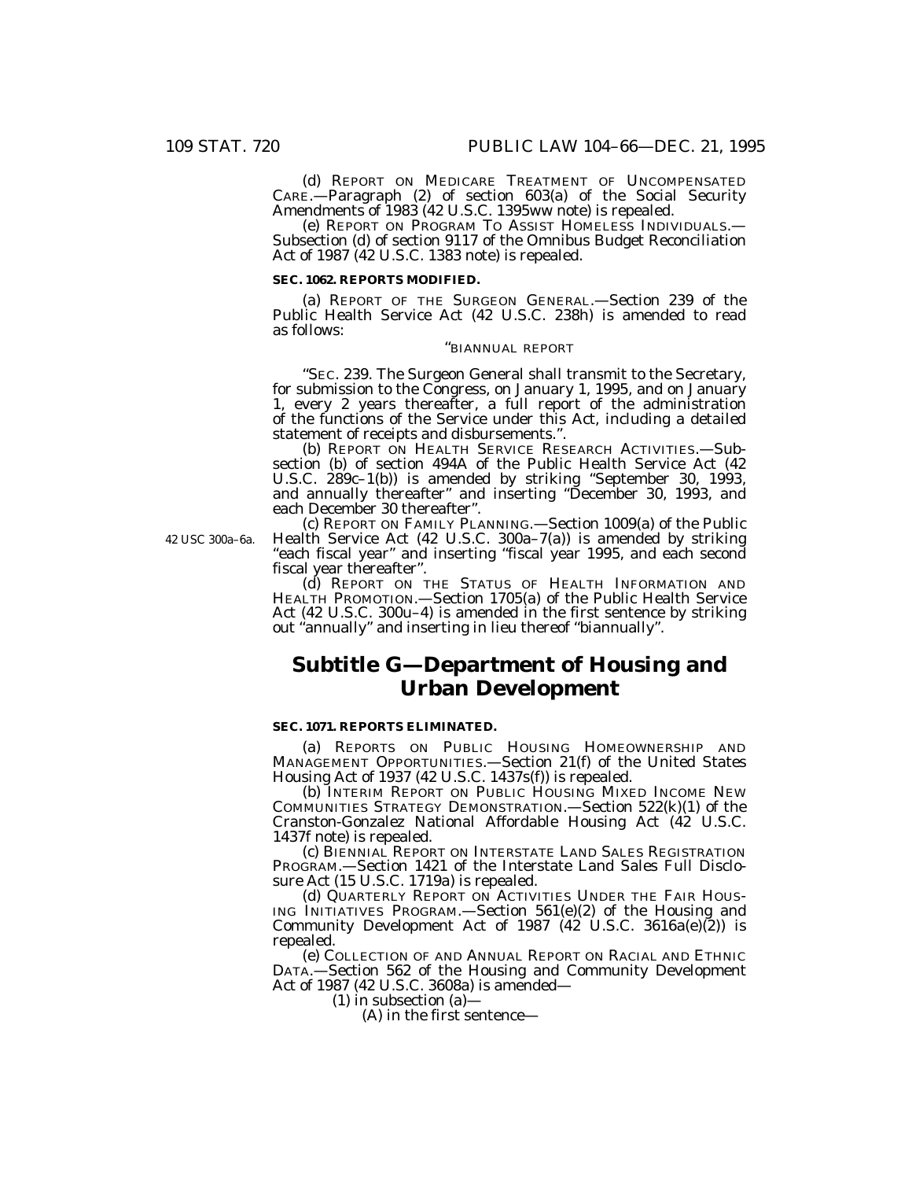(d) REPORT ON MEDICARE TREATMENT OF UNCOMPENSATED CARE.—Paragraph (2) of section 603(a) of the Social Security Amendments of 1983 (42 U.S.C. 1395ww note) is repealed.

(e) REPORT ON PROGRAM TO ASSIST HOMELESS INDIVIDUALS.— Subsection (d) of section 9117 of the Omnibus Budget Reconciliation Act of 1987 (42 U.S.C. 1383 note) is repealed.

### **SEC. 1062. REPORTS MODIFIED.**

(a) REPORT OF THE SURGEON GENERAL.—Section 239 of the Public Health Service Act (42 U.S.C. 238h) is amended to read as follows:

### ''BIANNUAL REPORT

''SEC. 239. The Surgeon General shall transmit to the Secretary, for submission to the Congress, on January 1, 1995, and on January 1, every 2 years thereafter, a full report of the administration of the functions of the Service under this Act, including a detailed statement of receipts and disbursements.''.

(b) REPORT ON HEALTH SERVICE RESEARCH ACTIVITIES.—Subsection (b) of section 494A of the Public Health Service Act (42 U.S.C. 289c–1(b)) is amended by striking ''September 30, 1993, and annually thereafter'' and inserting ''December 30, 1993, and each December 30 thereafter''.

42 USC 300a–6a.

(c) REPORT ON FAMILY PLANNING.—Section 1009(a) of the Public Health Service Act (42 U.S.C. 300a–7(a)) is amended by striking ''each fiscal year'' and inserting ''fiscal year 1995, and each second fiscal year thereafter''.

(d) REPORT ON THE STATUS OF HEALTH INFORMATION AND HEALTH PROMOTION.—Section 1705(a) of the Public Health Service Act (42 U.S.C. 300u–4) is amended in the first sentence by striking out ''annually'' and inserting in lieu thereof ''biannually''.

# **Subtitle G—Department of Housing and Urban Development**

### **SEC. 1071. REPORTS ELIMINATED.**

(a) REPORTS ON PUBLIC HOUSING HOMEOWNERSHIP AND MANAGEMENT OPPORTUNITIES.—Section 21(f) of the United States Housing Act of 1937 (42 U.S.C. 1437s(f)) is repealed.

(b) INTERIM REPORT ON PUBLIC HOUSING MIXED INCOME NEW COMMUNITIES STRATEGY DEMONSTRATION.—Section 522(k)(1) of the Cranston-Gonzalez National Affordable Housing Act (42 U.S.C. 1437f note) is repealed.

(c) BIENNIAL REPORT ON INTERSTATE LAND SALES REGISTRATION PROGRAM.—Section 1421 of the Interstate Land Sales Full Disclosure Act (15 U.S.C. 1719a) is repealed.

(d) QUARTERLY REPORT ON ACTIVITIES UNDER THE FAIR HOUS-ING INITIATIVES PROGRAM.—Section 561(e)(2) of the Housing and Community Development Act of 1987  $(42 \text{ U.S.C. } 3616a(e)(2))$  is repealed.

(e) COLLECTION OF AND ANNUAL REPORT ON RACIAL AND ETHNIC DATA.—Section 562 of the Housing and Community Development Act of 1987 (42 U.S.C. 3608a) is amended—

(1) in subsection (a)—

(A) in the first sentence—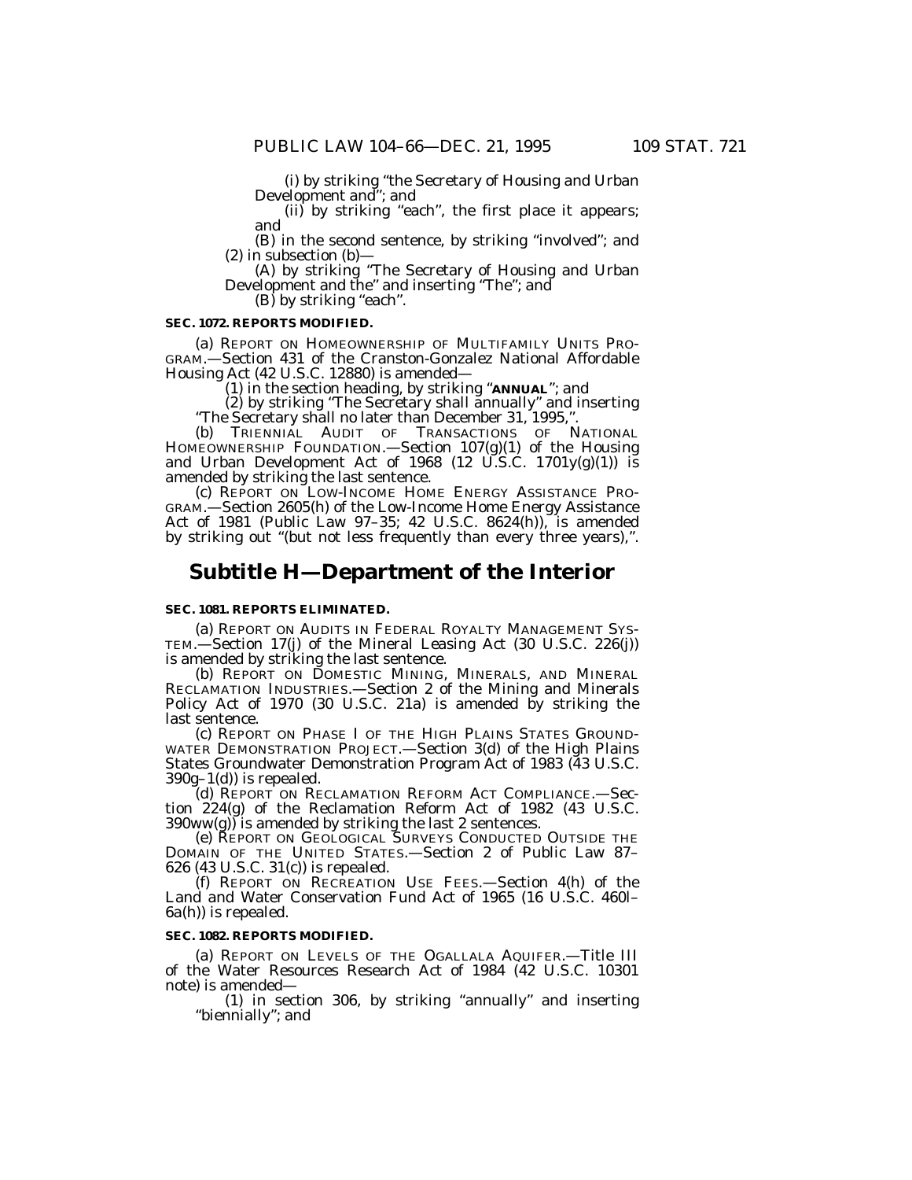(i) by striking ''the Secretary of Housing and Urban Development and''; and

(ii) by striking ''each'', the first place it appears; and

(B) in the second sentence, by striking ''involved''; and  $(2)$  in subsection  $(b)$ –

(A) by striking ''The Secretary of Housing and Urban Development and the'' and inserting ''The''; and

 $(B)$  by striking "each".

### **SEC. 1072. REPORTS MODIFIED.**

(a) REPORT ON HOMEOWNERSHIP OF MULTIFAMILY UNITS PRO-GRAM.—Section 431 of the Cranston-Gonzalez National Affordable Housing Act (42 U.S.C. 12880) is amended—

(1) in the section heading, by striking ''**ANNUAL**''; and

(2) by striking ''The Secretary shall annually'' and inserting ''The Secretary shall no later than December 31, 1995,''.

(b) TRIENNIAL AUDIT OF TRANSACTIONS OF NATIONAL HOMEOWNERSHIP FOUNDATION.—Section 107(g)(1) of the Housing and Urban Development Act of 1968 (12 U.S.C. 1701 $y(g)(1)$ ) is amended by striking the last sentence.

(c) REPORT ON LOW-INCOME HOME ENERGY ASSISTANCE PRO-GRAM.—Section 2605(h) of the Low-Income Home Energy Assistance Act of 1981 (Public Law 97-35; 42 U.S.C.  $8624(h)$ ), is amended by striking out ''(but not less frequently than every three years),''.

## **Subtitle H—Department of the Interior**

#### **SEC. 1081. REPORTS ELIMINATED.**

(a) REPORT ON AUDITS IN FEDERAL ROYALTY MANAGEMENT SYS- TEM.—Section 17(j) of the Mineral Leasing Act (30 U.S.C. 226(j))

is amended by striking the last sentence.<br>
(b) REPORT ON DOMESTIC MINING, MINERALS, AND MINERAL<br>
RECLAMATION INDUSTRIES.—Section 2 of the Mining and Minerals Policy Act of 1970 (30 U.S.C. 21a) is amended by striking the last sentence.

(c) REPORT ON PHASE I OF THE HIGH PLAINS STATES GROUND-WATER DEMONSTRATION PROJECT.—Section 3(d) of the High Plains States Groundwater Demonstration Program Act of 1983 (43 U.S.C.  $390g-1(d)$  is repealed.

(d) REPORT ON RECLAMATION REFORM ACT COMPLIANCE.—Section 224(g) of the Reclamation Reform Act of 1982 (43 U.S.C.  $390ww(g)$ ) is amended by striking the last 2 sentences.

(e) REPORT ON GEOLOGICAL SURVEYS CONDUCTED OUTSIDE THE DOMAIN OF THE UNITED STATES.—Section 2 of Public Law 87– 626 (43 U.S.C. 31(c)) is repealed.

(f) REPORT ON RECREATION USE FEES.—Section 4(h) of the Land and Water Conservation Fund Act of 1965 (16 U.S.C. 460l– 6a(h)) is repealed.

#### **SEC. 1082. REPORTS MODIFIED.**

(a) REPORT ON LEVELS OF THE OGALLALA AQUIFER.—Title III of the Water Resources Research Act of 1984 (42 U.S.C. 10301 note) is amended—

(1) in section 306, by striking ''annually'' and inserting ''biennially''; and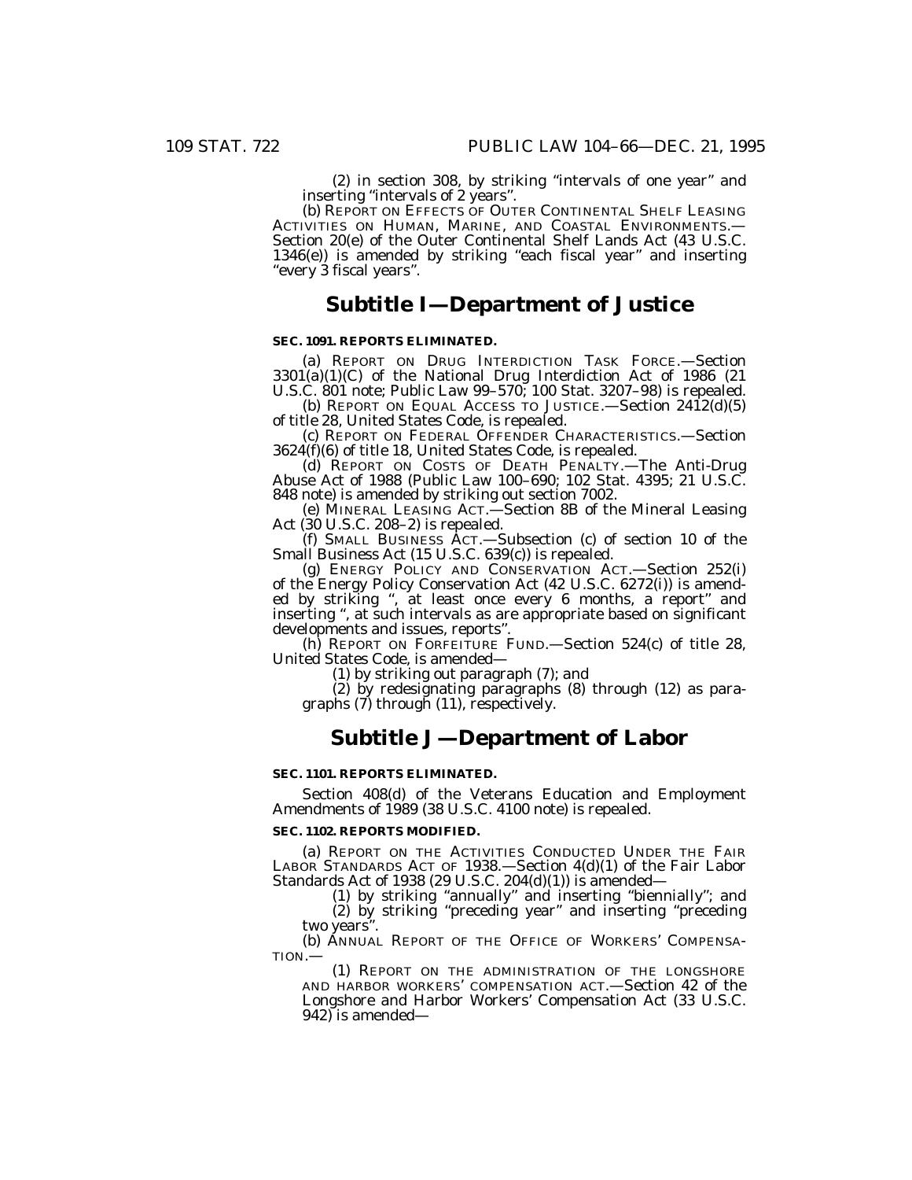(2) in section 308, by striking ''intervals of one year'' and inserting ''intervals of 2 years''.

(b) REPORT ON EFFECTS OF OUTER CONTINENTAL SHELF LEASING ACTIVITIES ON HUMAN, MARINE, AND COASTAL ENVIRONMENTS.— Section 20(e) of the Outer Continental Shelf Lands Act (43 U.S.C.  $1346(e)$ ) is amended by striking "each fiscal year" and inserting ''every 3 fiscal years''.

## **Subtitle I—Department of Justice**

### **SEC. 1091. REPORTS ELIMINATED.**

(a) REPORT ON DRUG INTERDICTION TASK FORCE.—Section  $3301(a)(1)(C)$  of the National Drug Interdiction Act of 1986 (21 U.S.C. 801 note; Public Law 99–570; 100 Stat. 3207–98) is repealed.

(b) REPORT ON EQUAL ACCESS TO JUSTICE.—Section  $2412(d)(5)$ of title 28, United States Code, is repealed.

(c) REPORT ON FEDERAL OFFENDER CHARACTERISTICS.—Section 3624(f)(6) of title 18, United States Code, is repealed.

(d) REPORT ON COSTS OF DEATH PENALTY.—The Anti-Drug Abuse Act of 1988 (Public Law 100–690; 102 Stat. 4395; 21 U.S.C.

848 note) is amended by striking out section 7002.<br>
(e) MINERAL LEASING ACT.—Section 8B of the Mineral Leasing Act (30 U.S.C. 208–2) is repealed.

(f) SMALL BUSINESS ACT.—Subsection (c) of section 10 of the Small Business Act (15 U.S.C. 639(c)) is repealed.

(g) ENERGY POLICY AND CONSERVATION ACT.—Section 252(i) of the Energy Policy Conservation Act (42 U.S.C. 6272(i)) is amended by striking '', at least once every 6 months, a report'' and inserting '', at such intervals as are appropriate based on significant developments and issues, reports"

(h) REPORT ON FORFEITURE FUND.—Section 524(c) of title 28, United States Code, is amended—

(1) by striking out paragraph (7); and

(2) by redesignating paragraphs (8) through (12) as para- graphs (7) through (11), respectively.

## **Subtitle J—Department of Labor**

#### **SEC. 1101. REPORTS ELIMINATED.**

Section 408(d) of the Veterans Education and Employment Amendments of 1989 (38 U.S.C. 4100 note) is repealed.

#### **SEC. 1102. REPORTS MODIFIED.**

(a) REPORT ON THE ACTIVITIES CONDUCTED UNDER THE FAIR LABOR STANDARDS ACT OF 1938.—Section 4(d)(1) of the Fair Labor Standards Act of 1938 (29 U.S.C. 204(d)(1)) is amended—

(1) by striking ''annually'' and inserting ''biennially''; and (2) by striking ''preceding year'' and inserting ''preceding two years''.

(b) ANNUAL REPORT OF THE OFFICE OF WORKERS' COMPENSA-TION.—

(1) REPORT ON THE ADMINISTRATION OF THE LONGSHORE AND HARBOR WORKERS' COMPENSATION ACT.—Section 42 of the Longshore and Harbor Workers' Compensation Act (33 U.S.C. 942) is amended—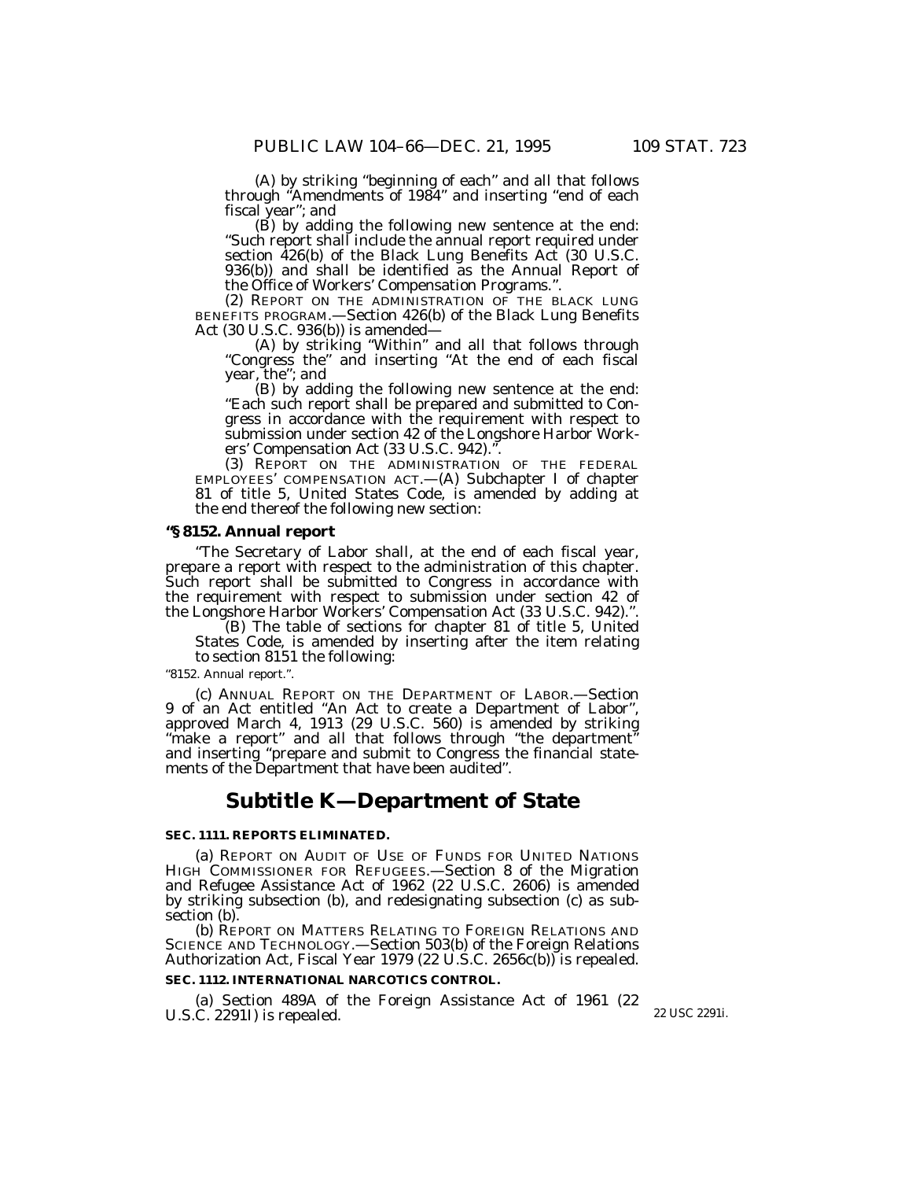(A) by striking ''beginning of each'' and all that follows through ''Amendments of 1984'' and inserting ''end of each

fiscal year''; and (B) by adding the following new sentence at the end: ''Such report shall include the annual report required under section 426(b) of the Black Lung Benefits Act (30 U.S.C. 936(b)) and shall be identified as the Annual Report of the Office of Workers' Compensation Programs.''.

(2) REPORT ON THE ADMINISTRATION OF THE BLACK LUNG BENEFITS PROGRAM.—Section 426(b) of the Black Lung Benefits Act (30 U.S.C. 936(b)) is amended—

(A) by striking ''Within'' and all that follows through ''Congress the'' and inserting ''At the end of each fiscal year, the''; and

(B) by adding the following new sentence at the end: ''Each such report shall be prepared and submitted to Congress in accordance with the requirement with respect to submission under section 42 of the Longshore Harbor Workers' Compensation Act (33 U.S.C. 942).''.

(3) REPORT ON THE ADMINISTRATION OF THE FEDERAL EMPLOYEES' COMPENSATION ACT.—(A) Subchapter I of chapter 81 of title 5, United States Code, is amended by adding at the end thereof the following new section:

### **''§ 8152. Annual report**

''The Secretary of Labor shall, at the end of each fiscal year, prepare a report with respect to the administration of this chapter. Such report shall be submitted to Congress in accordance with the requirement with respect to submission under section 42 of the Longshore Harbor Workers' Compensation Act (33 U.S.C. 942).''.

(B) The table of sections for chapter 81 of title 5, United States Code, is amended by inserting after the item relating to section 8151 the following:

#### ''8152. Annual report.''.

(c) ANNUAL REPORT ON THE DEPARTMENT OF LABOR.—Section 9 of an Act entitled ''An Act to create a Department of Labor'', approved March 4, 1913 (29 U.S.C. 560) is amended by striking "make a report" and all that follows through "the department" and inserting ''prepare and submit to Congress the financial statements of the Department that have been audited''.

## **Subtitle K—Department of State**

### **SEC. 1111. REPORTS ELIMINATED.**

(a) REPORT ON AUDIT OF USE OF FUNDS FOR UNITED NATIONS HIGH COMMISSIONER FOR REFUGEES.—Section 8 of the Migration and Refugee Assistance Act of 1962 (22 U.S.C. 2606) is amended by striking subsection (b), and redesignating subsection (c) as subsection (b).

(b) REPORT ON MATTERS RELATING TO FOREIGN RELATIONS AND SCIENCE AND TECHNOLOGY.—Section 503(b) of the Foreign Relations Authorization Act, Fiscal Year 1979 (22 U.S.C. 2656c(b)) is repealed.

### **SEC. 1112. INTERNATIONAL NARCOTICS CONTROL.**

(a) Section 489A of the Foreign Assistance Act of 1961 (22 U.S.C. 2291I) is repealed. 22 USC 2291i.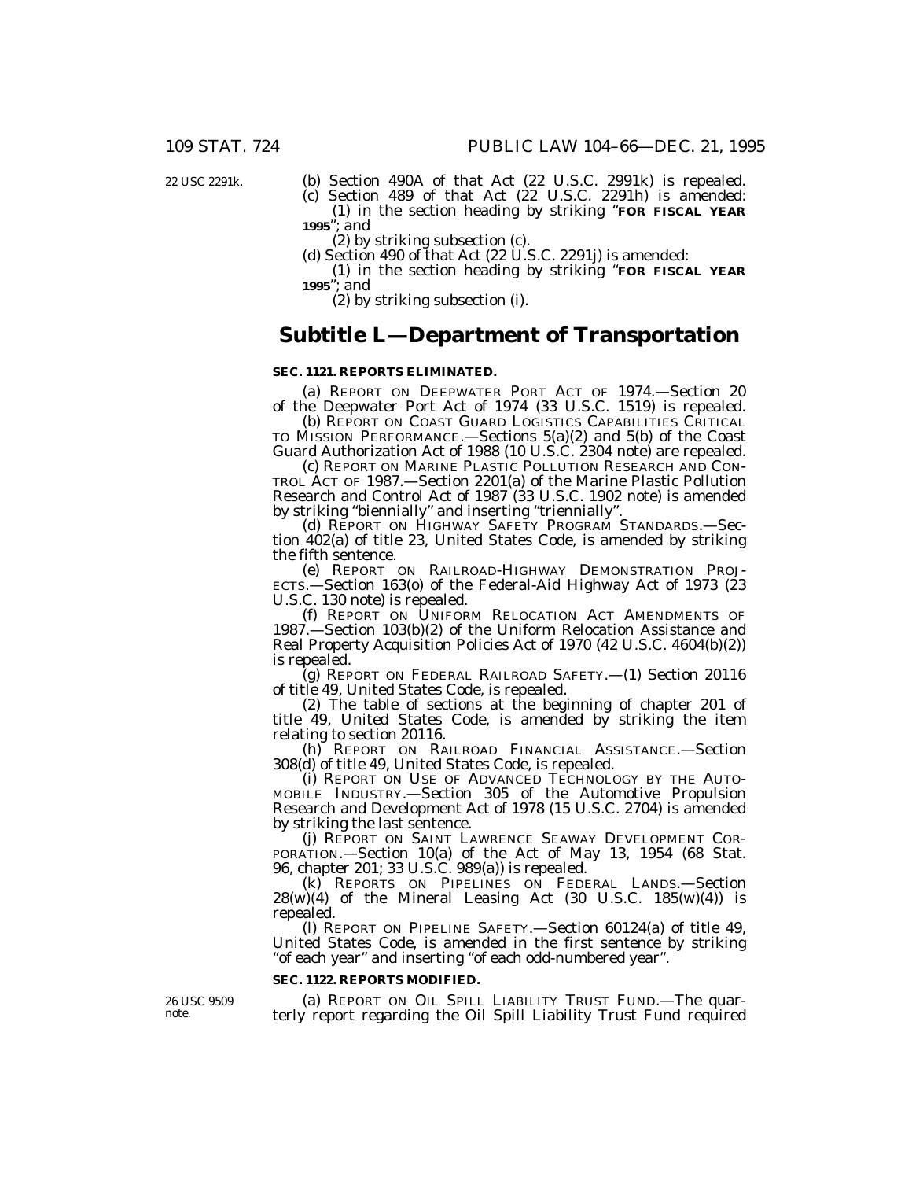22 USC 2291k.

(b) Section 490A of that Act (22 U.S.C. 2991k) is repealed.

(c) Section 489 of that Act (22 U.S.C. 2291h) is amended: (1) in the section heading by striking ''**FOR FISCAL YEAR 1995**''; and

(2) by striking subsection (c).

(d) Section 490 of that Act  $(22 \text{ U.S.C. } 2291$ j) is amended:

(1) in the section heading by striking ''**FOR FISCAL YEAR 1995**''; and

(2) by striking subsection (i).

## **Subtitle L—Department of Transportation**

#### **SEC. 1121. REPORTS ELIMINATED.**

(a) REPORT ON DEEPWATER PORT ACT OF 1974.—Section 20 of the Deepwater Port Act of 1974 (33 U.S.C. 1519) is repealed.

(b) REPORT ON COAST GUARD LOGISTICS CAPABILITIES CRITICAL TO MISSION PERFORMANCE.—Sections 5(a)(2) and 5(b) of the Coast Guard Authorization Act of 1988 (10 U.S.C. 2304 note) are repealed.

(c) REPORT ON MARINE PLASTIC POLLUTION RESEARCH AND CON-TROL ACT OF 1987.—Section 2201(a) of the Marine Plastic Pollution Research and Control Act of 1987 (33 U.S.C. 1902 note) is amended by striking ''biennially'' and inserting ''triennially''.

(d) REPORT ON HIGHWAY SAFETY PROGRAM STANDARDS.—Section 402(a) of title 23, United States Code, is amended by striking the fifth sentence.

(e) REPORT ON RAILROAD-HIGHWAY DEMONSTRATION PROJ-ECTS.—Section 163(o) of the Federal-Aid Highway Act of 1973 (23 U.S.C. 130 note) is repealed.

(f) REPORT ON UNIFORM RELOCATION ACT AMENDMENTS OF 1987.—Section 103(b)(2) of the Uniform Relocation Assistance and Real Property Acquisition Policies Act of 1970 (42 U.S.C. 4604(b)(2)) is repealed.

(g) REPORT ON FEDERAL RAILROAD SAFETY.—(1) Section 20116 of title 49, United States Code, is repealed.

(2) The table of sections at the beginning of chapter 201 of title 49, United States Code, is amended by striking the item

(h) REPORT ON RAILROAD FINANCIAL ASSISTANCE.—Section 308(d) of title 49, United States Code, is repealed.

(i) REPORT ON USE OF ADVANCED TECHNOLOGY BY THE AUTO- MOBILE INDUSTRY.—Section 305 of the Automotive Propulsion Research and Development Act of 1978 (15 U.S.C. 2704) is amended

by striking the last sentence.<br>
(j) REPORT ON SAINT LAWRENCE SEAWAY DEVELOPMENT COR-<br>
PORATION.—Section 10(a) of the Act of May 13, 1954 (68 Stat.<br>
96, chapter 201; 33 U.S.C. 989(a)) is repealed.

(k) REPORTS ON PIPELINES ON FEDERAL LANDS.—Section  $28(w)(4)$  of the Mineral Leasing Act (30 U.S.C.  $185(w)(4)$ ) is repealed.

(l) REPORT ON PIPELINE SAFETY.—Section 60124(a) of title 49, United States Code, is amended in the first sentence by striking ''of each year'' and inserting ''of each odd-numbered year''.

### **SEC. 1122. REPORTS MODIFIED.**

26 USC 9509 note.

(a) REPORT ON OIL SPILL LIABILITY TRUST FUND.—The quarterly report regarding the Oil Spill Liability Trust Fund required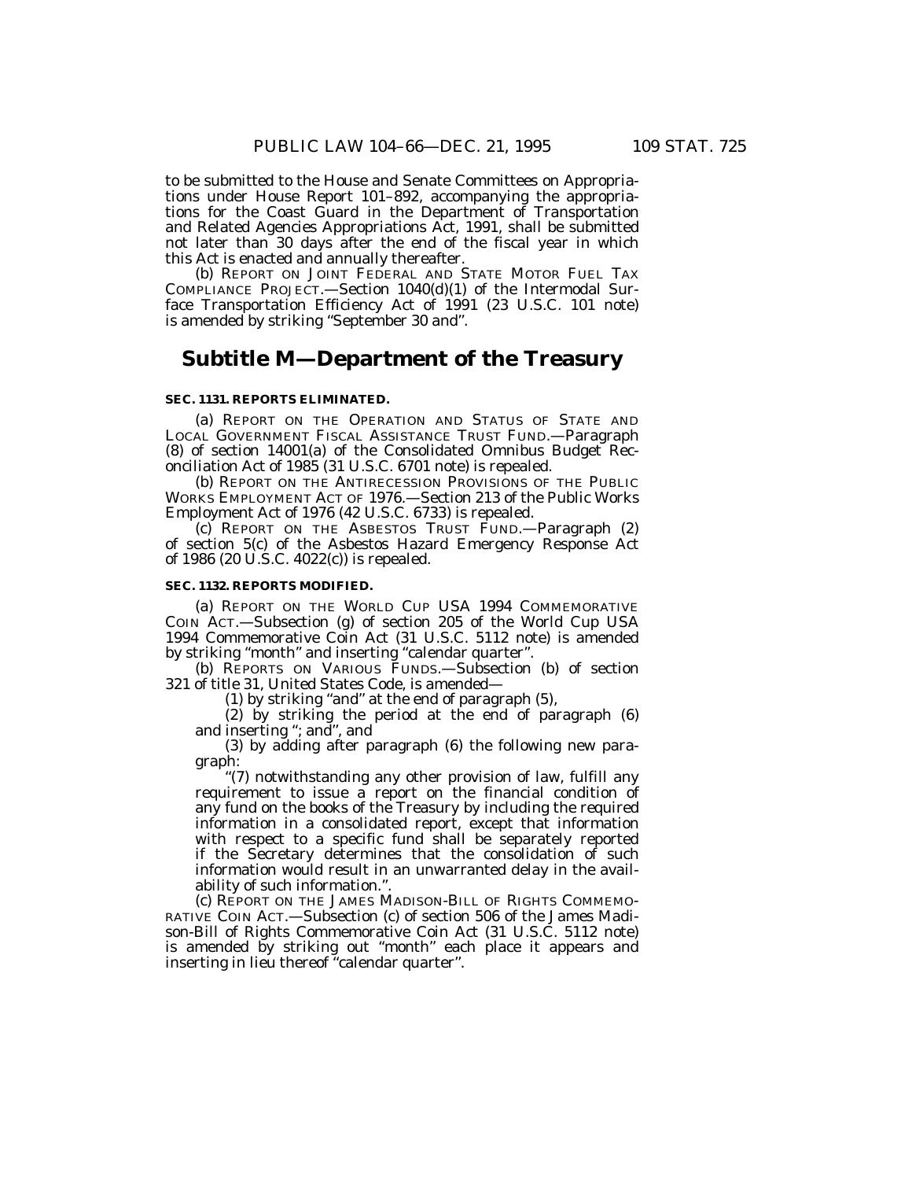to be submitted to the House and Senate Committees on Appropriations under House Report 101–892, accompanying the appropriations for the Coast Guard in the Department of Transportation and Related Agencies Appropriations Act, 1991, shall be submitted not later than 30 days after the end of the fiscal year in which this Act is enacted and annually thereafter.

(b) REPORT ON JOINT FEDERAL AND STATE MOTOR FUEL TAX COMPLIANCE PROJECT.—Section 1040(d)(1) of the Intermodal Surface Transportation Efficiency Act of 1991 (23 U.S.C. 101 note) is amended by striking "September 30 and".

## **Subtitle M—Department of the Treasury**

### **SEC. 1131. REPORTS ELIMINATED.**

(a) REPORT ON THE OPERATION AND STATUS OF STATE AND LOCAL GOVERNMENT FISCAL ASSISTANCE TRUST FUND.—Paragraph (8) of section 14001(a) of the Consolidated Omnibus Budget Reconciliation Act of 1985 (31 U.S.C. 6701 note) is repealed.

(b) REPORT ON THE ANTIRECESSION PROVISIONS OF THE PUBLIC WORKS EMPLOYMENT ACT OF 1976.—Section 213 of the Public Works Employment Act of 1976 (42 U.S.C. 6733) is repealed.

(c) REPORT ON THE ASBESTOS TRUST FUND.—Paragraph (2) of section 5(c) of the Asbestos Hazard Emergency Response Act of 1986 (20 U.S.C. 4022(c)) is repealed.

#### **SEC. 1132. REPORTS MODIFIED.**

(a) REPORT ON THE WORLD CUP USA 1994 COMMEMORATIVE COIN ACT.—Subsection (g) of section 205 of the World Cup USA 1994 Commemorative Coin Act (31 U.S.C. 5112 note) is amended by striking ''month'' and inserting ''calendar quarter''.

(b) REPORTS ON VARIOUS FUNDS.—Subsection (b) of section 321 of title 31, United States Code, is amended—

(1) by striking ''and'' at the end of paragraph (5),

(2) by striking the period at the end of paragraph (6) and inserting ''; and'', and

(3) by adding after paragraph (6) the following new paragraph:

"(7) notwithstanding any other provision of law, fulfill any requirement to issue a report on the financial condition of any fund on the books of the Treasury by including the required information in a consolidated report, except that information with respect to a specific fund shall be separately reported if the Secretary determines that the consolidation of such information would result in an unwarranted delay in the availability of such information.''.

(c) REPORT ON THE JAMES MADISON-BILL OF RIGHTS COMMEMO-RATIVE COIN ACT.—Subsection (c) of section 506 of the James Madison-Bill of Rights Commemorative Coin Act (31 U.S.C. 5112 note) is amended by striking out ''month'' each place it appears and inserting in lieu thereof "calendar quarter".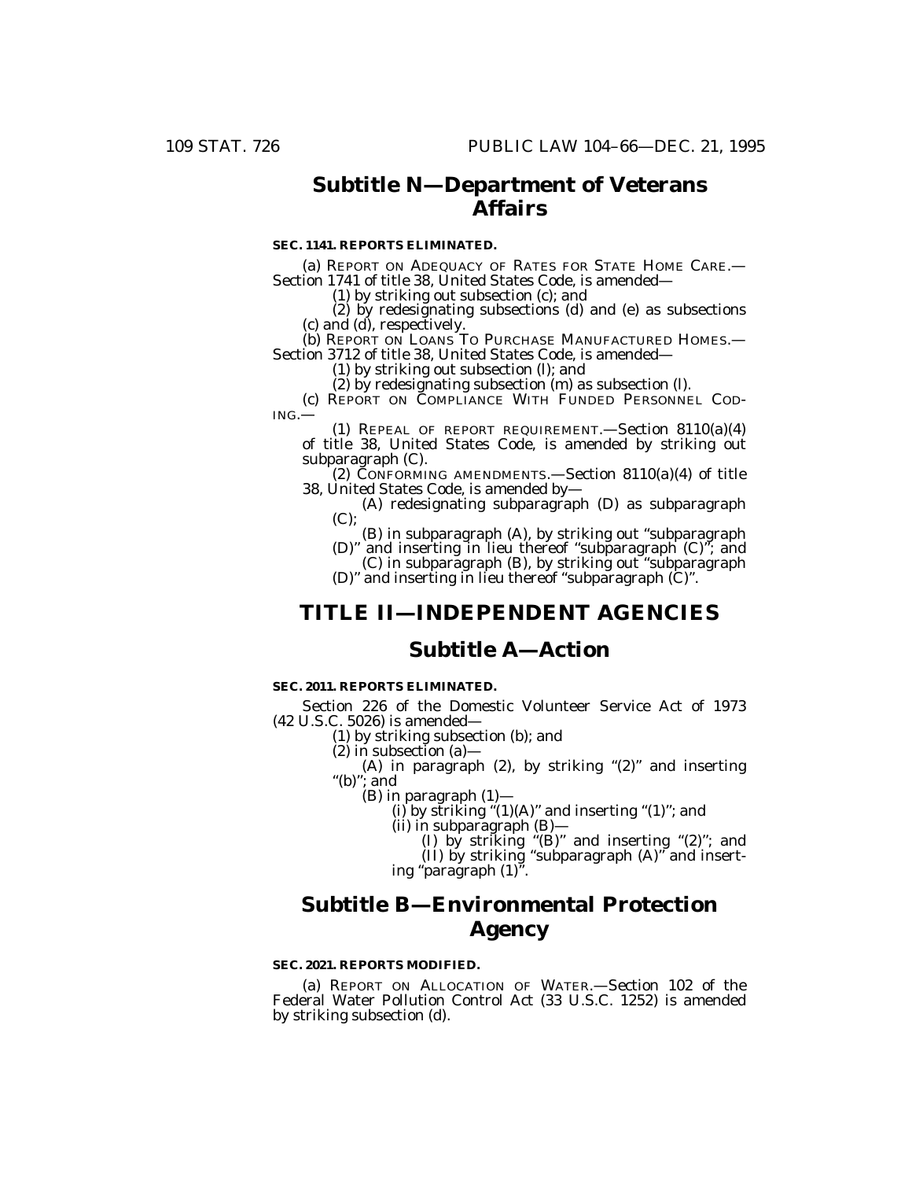# **Subtitle N—Department of Veterans Affairs**

### **SEC. 1141. REPORTS ELIMINATED.**

(a) REPORT ON ADEQUACY OF RATES FOR STATE HOME CARE.— Section 1741 of title 38, United States Code, is amended—

(1) by striking out subsection (c); and

(2) by redesignating subsections (d) and (e) as subsections (c) and (d), respectively.

(b) REPORT ON LOANS TO PURCHASE MANUFACTURED HOMES.— Section 3712 of title 38, United States Code, is amended—

(1) by striking out subsection (l); and

(2) by redesignating subsection (m) as subsection (l). (c) REPORT ON COMPLIANCE WITH FUNDED PERSONNEL COD-

ING.—

(1) REPEAL OF REPORT REQUIREMENT.—Section 8110(a)(4) of title 38, United States Code, is amended by striking out subparagraph (C).

(2) CONFORMING AMENDMENTS.—Section 8110(a)(4) of title 38, United States Code, is amended by—

(A) redesignating subparagraph (D) as subparagraph  $(C)$ :

(B) in subparagraph (A), by striking out ''subparagraph (D)'' and inserting in lieu thereof ''subparagraph (C)''; and

(C) in subparagraph (B), by striking out ''subparagraph (D)'' and inserting in lieu thereof ''subparagraph (C)''.

## **TITLE II—INDEPENDENT AGENCIES**

# **Subtitle A—Action**

### **SEC. 2011. REPORTS ELIMINATED.**

Section 226 of the Domestic Volunteer Service Act of 1973 (42 U.S.C. 5026) is amended—

(1) by striking subsection (b); and

 $(2)$  in subsection  $(a)$ -

(A) in paragraph (2), by striking "(2)" and inserting "(b)"; and (B) in paragraph  $(1)$ —

(i) by striking " $(1)(A)$ " and inserting " $(1)$ "; and

(ii) in subparagraph  $(B)$ —<br>(I) by striking "(B)" and inserting "(2)"; and

(II) by striking ''subparagraph (A)'' and insert- ing ''paragraph (1)''.

# **Subtitle B—Environmental Protection Agency**

### **SEC. 2021. REPORTS MODIFIED.**

(a) REPORT ON ALLOCATION OF WATER.—Section 102 of the Federal Water Pollution Control Act (33 U.S.C. 1252) is amended by striking subsection (d).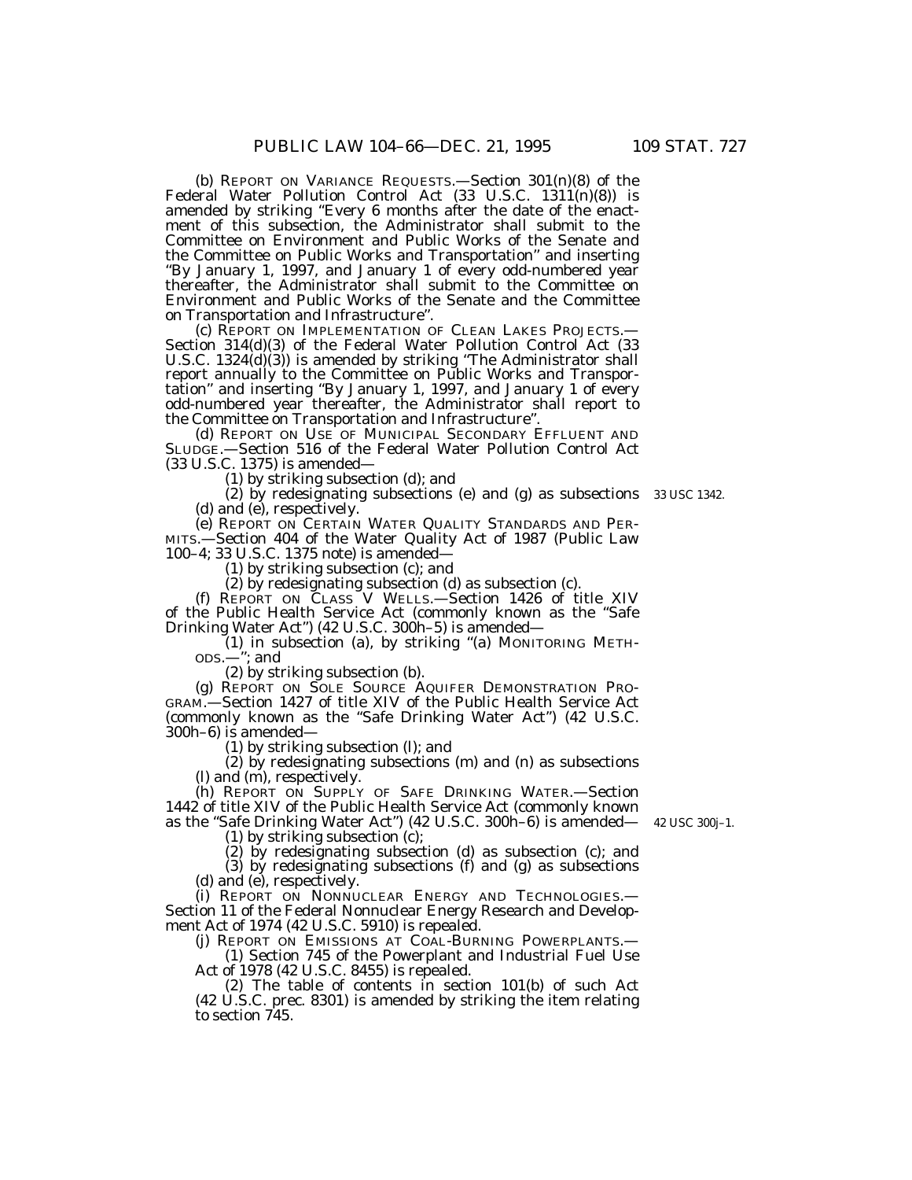(b) REPORT ON VARIANCE REQUESTS.—Section 301(n)(8) of the Federal Water Pollution Control Act (33 U.S.C. 1311(n)(8)) is amended by striking ''Every 6 months after the date of the enactment of this subsection, the Administrator shall submit to the Committee on Environment and Public Works of the Senate and the Committee on Public Works and Transportation'' and inserting ''By January 1, 1997, and January 1 of every odd-numbered year thereafter, the Administrator shall submit to the Committee on Environment and Public Works of the Senate and the Committee on Transportation and Infrastructure''.

(c) REPORT ON IMPLEMENTATION OF CLEAN LAKES PROJECTS.— Section 314(d)(3) of the Federal Water Pollution Control Act (33 U.S.C. 1324(d)(3)) is amended by striking ''The Administrator shall report annually to the Committee on Public Works and Transportation'' and inserting ''By January 1, 1997, and January 1 of every odd-numbered year thereafter, the Administrator shall report to the Committee on Transportation and Infrastructure''.

(d) REPORT ON USE OF MUNICIPAL SECONDARY EFFLUENT AND SLUDGE.—Section 516 of the Federal Water Pollution Control Act (33 U.S.C. 1375) is amended—

(1) by striking subsection (d); and

(2) by redesignating subsections (e) and (g) as subsections 33 USC 1342. (d) and (e), respectively.

(e) REPORT ON CERTAIN WATER QUALITY STANDARDS AND PER-MITS.—Section 404 of the Water Quality Act of 1987 (Public Law 100–4; 33 U.S.C. 1375 note) is amended—

(1) by striking subsection (c); and

(2) by redesignating subsection (d) as subsection (c).

(f) REPORT ON CLASS V WELLS.—Section 1426 of title XIV of the Public Health Service Act (commonly known as the ''Safe Drinking Water Act'') (42 U.S.C. 300h–5) is amended—

(1) in subsection (a), by striking ''(a) MONITORING METH- $ODs.$ — $"$ ; and

(2) by striking subsection (b).

(g) REPORT ON SOLE SOURCE AQUIFER DEMONSTRATION PRO-GRAM.—Section 1427 of title XIV of the Public Health Service Act (commonly known as the ''Safe Drinking Water Act'') (42 U.S.C. 300h–6) is amended—

(1) by striking subsection (l); and

(2) by redesignating subsections (m) and (n) as subsections (l) and (m), respectively.

(h) REPORT ON SUPPLY OF SAFE DRINKING WATER.—Section 1442 of title XIV of the Public Health Service Act (commonly known as the ''Safe Drinking Water Act'') (42 U.S.C. 300h–6) is amended— 42 USC 300j–1.

(1) by striking subsection (c);

(2) by redesignating subsection (d) as subsection (c); and (3) by redesignating subsections (f) and (g) as subsections (d) and (e), respectively.

(i) REPORT ON NONNUCLEAR ENERGY AND TECHNOLOGIES.— Section 11 of the Federal Nonnuclear Energy Research and Development Act of 1974 (42 U.S.C. 5910) is repealed.

(j) REPORT ON EMISSIONS AT COAL-BURNING POWERPLANTS.— (1) Section 745 of the Powerplant and Industrial Fuel Use Act of 1978 (42 U.S.C. 8455) is repealed.

(2) The table of contents in section 101(b) of such Act (42 U.S.C. prec. 8301) is amended by striking the item relating to section 745.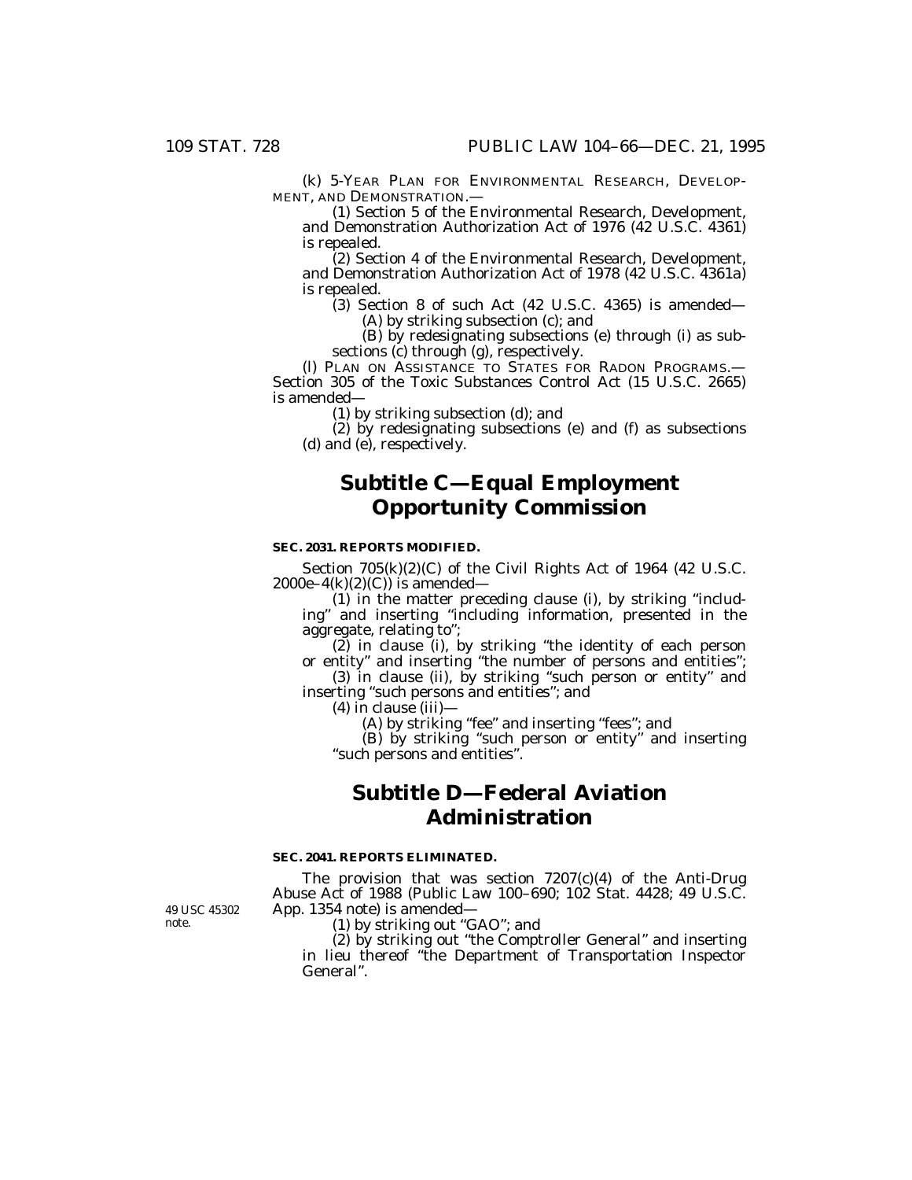(k) 5-YEAR PLAN FOR ENVIRONMENTAL RESEARCH, DEVELOP-MENT, AND DEMONSTRATION.—

(1) Section 5 of the Environmental Research, Development, and Demonstration Authorization Act of 1976 (42 U.S.C. 4361) is repealed.

(2) Section 4 of the Environmental Research, Development, and Demonstration Authorization Act of 1978 (42 U.S.C. 4361a) is repealed.

 $(3)$  Section 8 of such Act  $(42 \text{ U.S.C. } 4365)$  is amended— (A) by striking subsection (c); and

(B) by redesignating subsections (e) through (i) as subsections (c) through (g), respectively.

(l) PLAN ON ASSISTANCE TO STATES FOR RADON PROGRAMS.— Section 305 of the Toxic Substances Control Act (15 U.S.C. 2665) is amended—

(1) by striking subsection (d); and

(2) by redesignating subsections (e) and (f) as subsections (d) and (e), respectively.

# **Subtitle C—Equal Employment Opportunity Commission**

### **SEC. 2031. REPORTS MODIFIED.**

Section 705(k)(2)(C) of the Civil Rights Act of 1964 (42 U.S.C.  $2000e-4(k)(2)(C)$  is amended—

(1) in the matter preceding clause (i), by striking ''including'' and inserting ''including information, presented in the aggregate, relating to'';

(2) in clause (i), by striking ''the identity of each person or entity'' and inserting ''the number of persons and entities'';

(3) in clause (ii), by striking ''such person or entity'' and inserting "such persons and entities"; and

 $(4)$  in clause  $(iii)$ —

(A) by striking ''fee'' and inserting ''fees''; and

(B) by striking ''such person or entity'' and inserting ''such persons and entities''.

# **Subtitle D—Federal Aviation Administration**

### **SEC. 2041. REPORTS ELIMINATED.**

The provision that was section 7207(c)(4) of the Anti-Drug Abuse Act of 1988 (Public Law 100–690; 102 Stat. 4428; 49 U.S.C. App. 1354 note) is amended—

(1) by striking out ''GAO''; and

(2) by striking out ''the Comptroller General'' and inserting in lieu thereof ''the Department of Transportation Inspector General''.

49 USC 45302 note.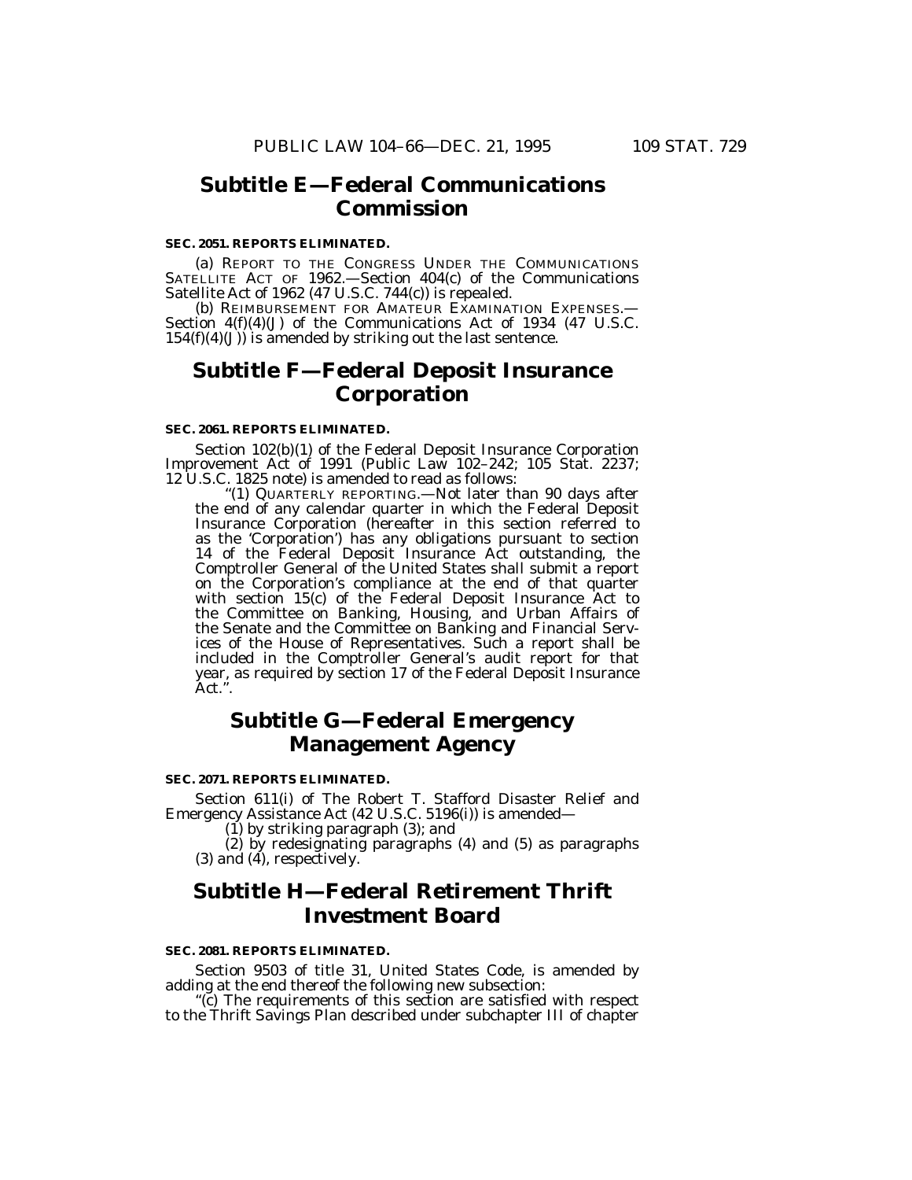## **Subtitle E—Federal Communications Commission**

### **SEC. 2051. REPORTS ELIMINATED.**

(a) REPORT TO THE CONGRESS UNDER THE COMMUNICATIONS SATELLITE ACT OF 1962.—Section 404(c) of the Communications Satellite Act of 1962 (47 U.S.C. 744(c)) is repealed.

(b) REIMBURSEMENT FOR AMATEUR EXAMINATION EXPENSES.— Section 4(f)(4)(J) of the Communications Act of 1934 (47 U.S.C.  $154(f)(4)(J)$ ) is amended by striking out the last sentence.

# **Subtitle F—Federal Deposit Insurance Corporation**

### **SEC. 2061. REPORTS ELIMINATED.**

Section 102(b)(1) of the Federal Deposit Insurance Corporation Improvement Act of 1991 (Public Law 102–242; 105 Stat. 2237; 12 U.S.C. 1825 note) is amended to read as follows:

''(1) QUARTERLY REPORTING.—Not later than 90 days after the end of any calendar quarter in which the Federal Deposit Insurance Corporation (hereafter in this section referred to as the 'Corporation') has any obligations pursuant to section 14 of the Federal Deposit Insurance Act outstanding, the Comptroller General of the United States shall submit a report on the Corporation's compliance at the end of that quarter with section 15(c) of the Federal Deposit Insurance Act to the Committee on Banking, Housing, and Urban Affairs of the Senate and the Committee on Banking and Financial Services of the House of Representatives. Such a report shall be included in the Comptroller General's audit report for that year, as required by section 17 of the Federal Deposit Insurance Act.''.

# **Subtitle G—Federal Emergency Management Agency**

### **SEC. 2071. REPORTS ELIMINATED.**

Section 611(i) of The Robert T. Stafford Disaster Relief and Emergency Assistance Act (42 U.S.C. 5196(i)) is amended—

(1) by striking paragraph (3); and

(2) by redesignating paragraphs (4) and (5) as paragraphs  $(3)$  and  $(4)$ , respectively.

# **Subtitle H—Federal Retirement Thrift Investment Board**

#### **SEC. 2081. REPORTS ELIMINATED.**

Section 9503 of title 31, United States Code, is amended by adding at the end thereof the following new subsection:

''(c) The requirements of this section are satisfied with respect to the Thrift Savings Plan described under subchapter III of chapter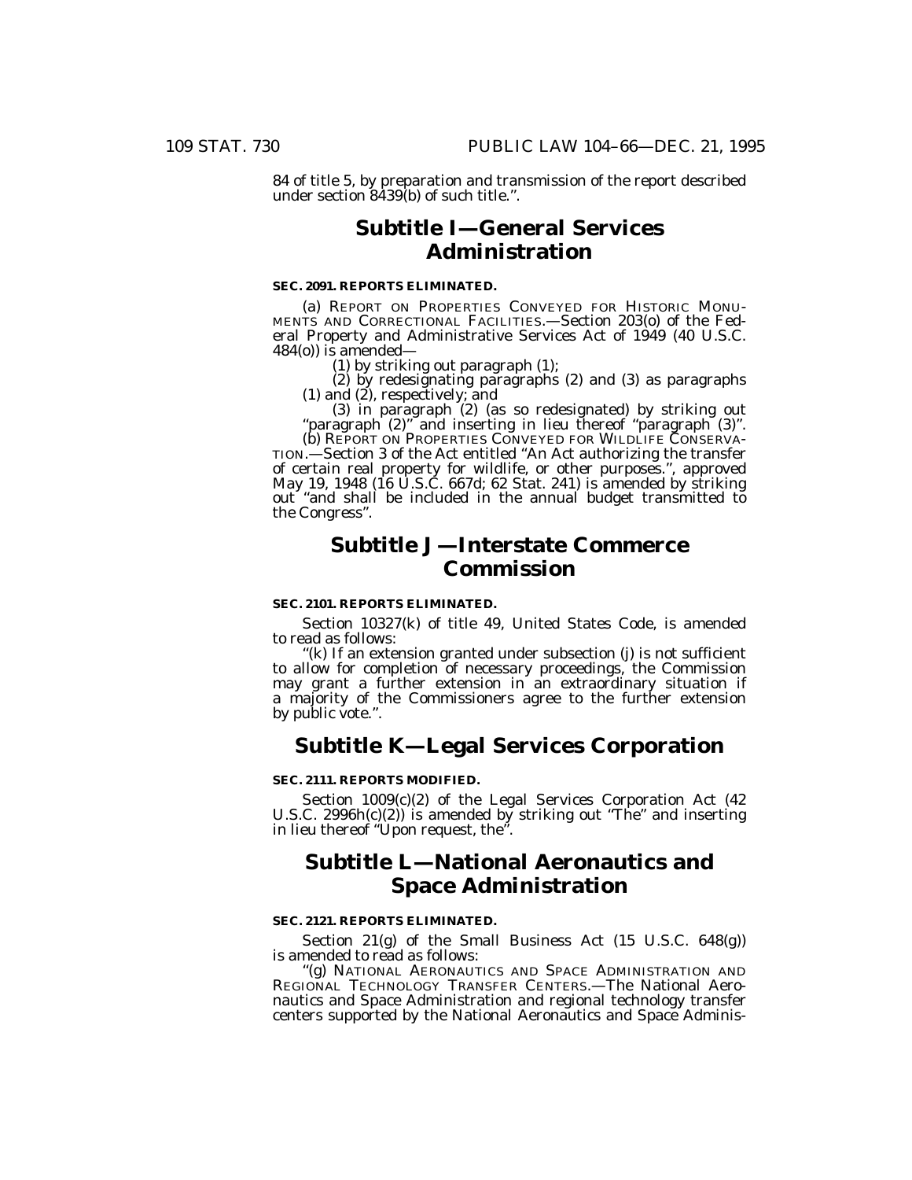84 of title 5, by preparation and transmission of the report described under section 8439(b) of such title.''.

# **Subtitle I—General Services Administration**

### **SEC. 2091. REPORTS ELIMINATED.**

(a) REPORT ON PROPERTIES CONVEYED FOR HISTORIC MONU- MENTS AND CORRECTIONAL FACILITIES.—Section 203(o) of the Federal Property and Administrative Services Act of 1949 (40 U.S.C. 484(o)) is amended—

(1) by striking out paragraph  $(1)$ ;<br>(2) by redesignating paragraphs (2) and (3) as paragraphs (2) by redesignating paragraphs (2) and (3) as paragraphs (1) and (2), respectively; and (3) in paragraph (2) (as so redesignated) by striking out ''paragraph (2)'' and inserting in lieu thereof ''paragraph (3)''.

(b) REPORT ON PROPERTIES CONVEYED FOR WILDLIFE CONSERVA- TION.—Section 3 of the Act entitled ''An Act authorizing the transfer of certain real property for wildlife, or other purposes.'', approved May 19, 1948 (16 U.S.C. 667d; 62 Stat. 241) is amended by striking out ''and shall be included in the annual budget transmitted to the Congress''.

# **Subtitle J—Interstate Commerce Commission**

#### **SEC. 2101. REPORTS ELIMINATED.**

Section 10327(k) of title 49, United States Code, is amended to read as follows:

''(k) If an extension granted under subsection (j) is not sufficient to allow for completion of necessary proceedings, the Commission may grant a further extension in an extraordinary situation if a majority of the Commissioners agree to the further extension by public vote.''.

## **Subtitle K—Legal Services Corporation**

### **SEC. 2111. REPORTS MODIFIED.**

Section 1009(c)(2) of the Legal Services Corporation Act (42 U.S.C. 2996h(c)(2)) is amended by striking out ''The'' and inserting in lieu thereof ''Upon request, the''.

# **Subtitle L—National Aeronautics and Space Administration**

### **SEC. 2121. REPORTS ELIMINATED.**

Section 21(g) of the Small Business Act (15 U.S.C. 648(g)) is amended to read as follows:

''(g) NATIONAL AERONAUTICS AND SPACE ADMINISTRATION AND REGIONAL TECHNOLOGY TRANSFER CENTERS.—The National Aeronautics and Space Administration and regional technology transfer centers supported by the National Aeronautics and Space Adminis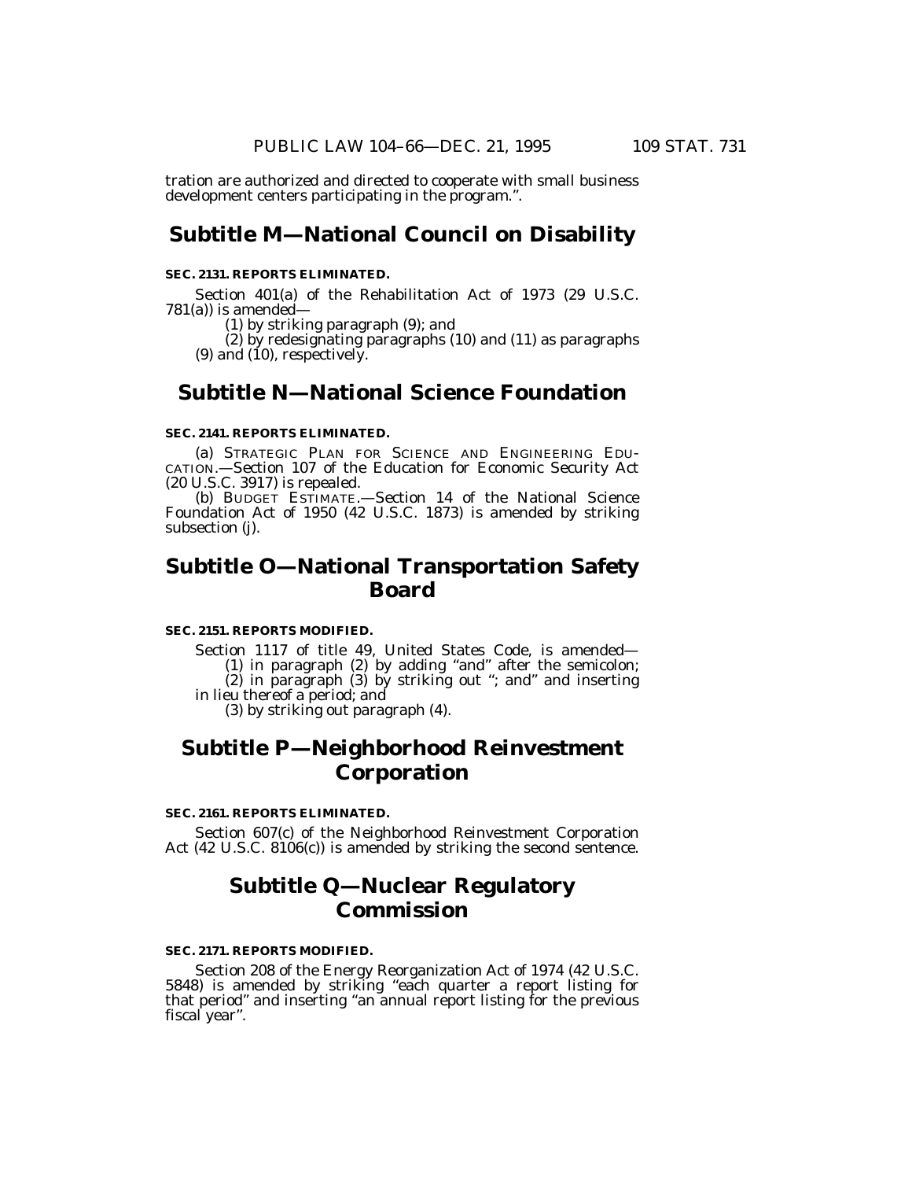tration are authorized and directed to cooperate with small business development centers participating in the program.''.

## **Subtitle M—National Council on Disability**

#### **SEC. 2131. REPORTS ELIMINATED.**

Section 401(a) of the Rehabilitation Act of 1973 (29 U.S.C. 781(a)) is amended—

(1) by striking paragraph (9); and

(2) by redesignating paragraphs (10) and (11) as paragraphs  $(9)$  and  $(10)$ , respectively.

## **Subtitle N—National Science Foundation**

### **SEC. 2141. REPORTS ELIMINATED.**

(a) STRATEGIC PLAN FOR SCIENCE AND ENGINEERING EDU- CATION.—Section 107 of the Education for Economic Security Act (20 U.S.C. 3917) is repealed.

(b) BUDGET ESTIMATE.—Section 14 of the National Science Foundation Act of 1950 (42 U.S.C. 1873) is amended by striking subsection (j).

# **Subtitle O—National Transportation Safety Board**

### **SEC. 2151. REPORTS MODIFIED.**

Section 1117 of title 49, United States Code, is amended—

(1) in paragraph (2) by adding ''and'' after the semicolon;

(2) in paragraph (3) by striking out ''; and'' and inserting in lieu thereof a period; and

(3) by striking out paragraph (4).

# **Subtitle P—Neighborhood Reinvestment Corporation**

#### **SEC. 2161. REPORTS ELIMINATED.**

Section 607(c) of the Neighborhood Reinvestment Corporation Act (42 U.S.C. 8106(c)) is amended by striking the second sentence.

# **Subtitle Q—Nuclear Regulatory Commission**

### **SEC. 2171. REPORTS MODIFIED.**

Section 208 of the Energy Reorganization Act of 1974 (42 U.S.C. 5848) is amended by striking ''each quarter a report listing for that period'' and inserting ''an annual report listing for the previous fiscal year''.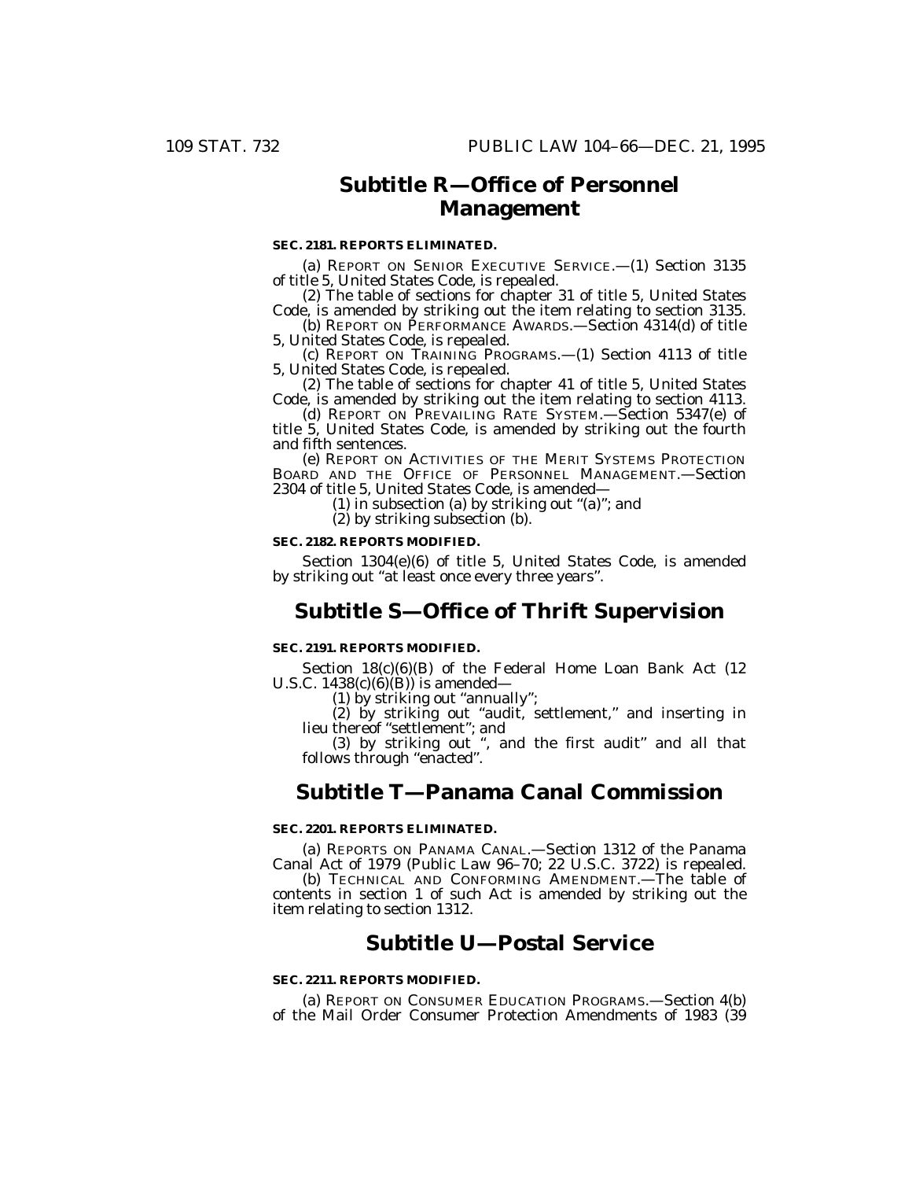# **Subtitle R—Office of Personnel Management**

### **SEC. 2181. REPORTS ELIMINATED.**

(a) REPORT ON SENIOR EXECUTIVE SERVICE.—(1) Section 3135 of title 5, United States Code, is repealed.

(2) The table of sections for chapter 31 of title 5, United States Code, is amended by striking out the item relating to section 3135.

(b) REPORT ON PERFORMANCE AWARDS.—Section 4314(d) of title 5, United States Code, is repealed.

(c) REPORT ON TRAINING PROGRAMS.—(1) Section 4113 of title 5, United States Code, is repealed.

(2) The table of sections for chapter 41 of title 5, United States Code, is amended by striking out the item relating to section 4113.

(d) REPORT ON PREVAILING RATE SYSTEM.—Section 5347(e) of title 5, United States Code, is amended by striking out the fourth and fifth sentences.

(e) REPORT ON ACTIVITIES OF THE MERIT SYSTEMS PROTECTION BOARD AND THE OFFICE OF PERSONNEL MANAGEMENT.—Section 2304 of title 5, United States Code, is amended—

(1) in subsection (a) by striking out ''(a)''; and

(2) by striking subsection (b).

### **SEC. 2182. REPORTS MODIFIED.**

Section 1304(e)(6) of title 5, United States Code, is amended by striking out ''at least once every three years''.

## **Subtitle S—Office of Thrift Supervision**

### **SEC. 2191. REPORTS MODIFIED.**

Section 18(c)(6)(B) of the Federal Home Loan Bank Act (12 U.S.C.  $1438(c)(6)(B)$  is amended-

(1) by striking out ''annually'';

(2) by striking out ''audit, settlement,'' and inserting in lieu thereof ''settlement''; and

(3) by striking out '', and the first audit'' and all that follows through ''enacted''.

## **Subtitle T—Panama Canal Commission**

### **SEC. 2201. REPORTS ELIMINATED.**

(a) REPORTS ON PANAMA CANAL.—Section 1312 of the Panama Canal Act of 1979 (Public Law 96–70; 22 U.S.C. 3722) is repealed.

(b) TECHNICAL AND CONFORMING AMENDMENT.—The table of contents in section 1 of such Act is amended by striking out the item relating to section 1312.

# **Subtitle U—Postal Service**

### **SEC. 2211. REPORTS MODIFIED.**

(a) REPORT ON CONSUMER EDUCATION PROGRAMS.—Section 4(b) of the Mail Order Consumer Protection Amendments of 1983 (39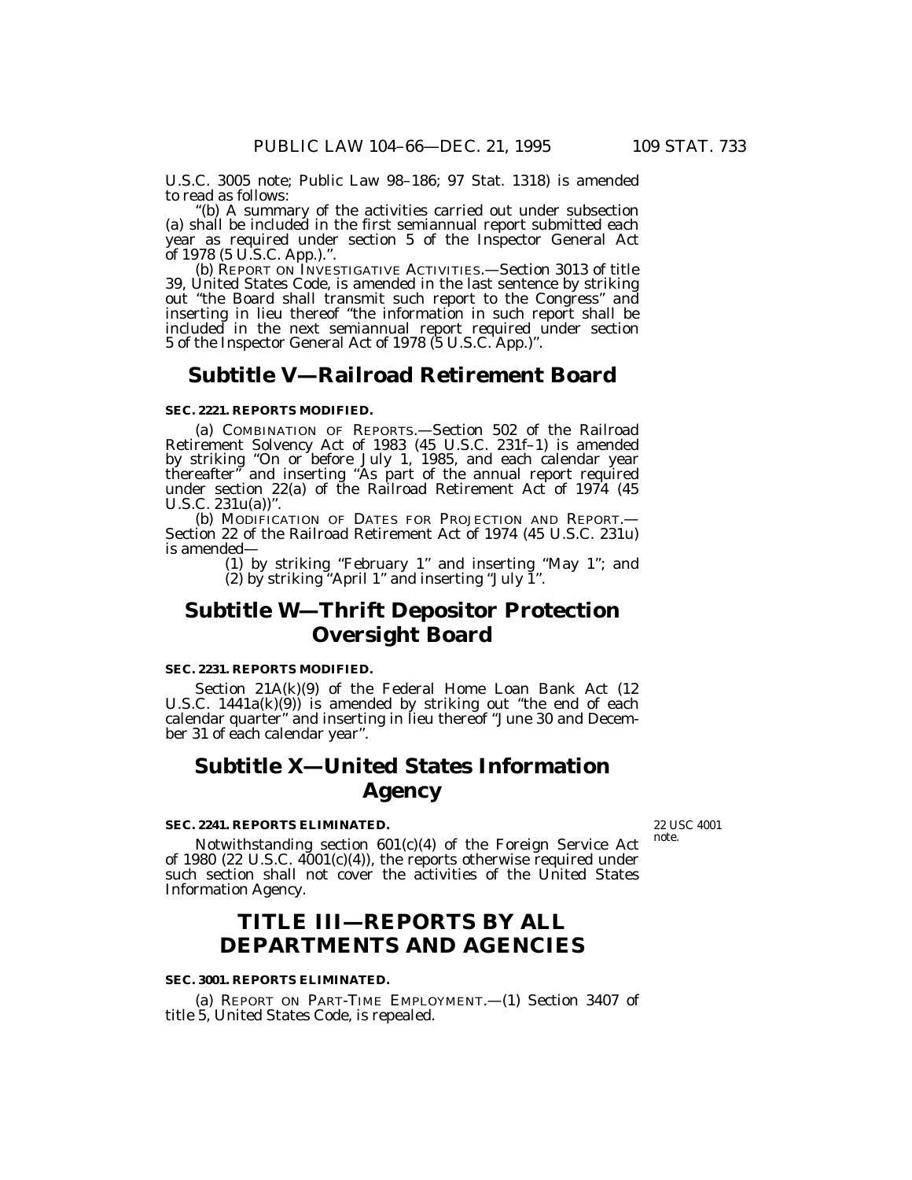U.S.C. 3005 note; Public Law 98–186; 97 Stat. 1318) is amended to read as follows:<br>"(b) A summary of the activities carried out under subsection

(a) shall be included in the first semiannual report submitted each year as required under section 5 of the Inspector General Act of 1978 (5 U.S.C. App.).".

(b) REPORT ON INVESTIGATIVE ACTIVITIES.—Section 3013 of title 39, United States Code, is amended in the last sentence by striking out ''the Board shall transmit such report to the Congress'' and inserting in lieu thereof ''the information in such report shall be included in the next semiannual report required under section 5 of the Inspector General Act of 1978 (5 U.S.C. App.)''.

# **Subtitle V—Railroad Retirement Board**

### **SEC. 2221. REPORTS MODIFIED.**

(a) COMBINATION OF REPORTS.—Section 502 of the Railroad Retirement Solvency Act of 1983 (45 U.S.C. 231f–1) is amended by striking ''On or before July 1, 1985, and each calendar year thereafter'' and inserting ''As part of the annual report required under section 22(a) of the Railroad Retirement Act of 1974 (45 U.S.C. 231u(a))''.

(b) MODIFICATION OF DATES FOR PROJECTION AND REPORT.— Section 22 of the Railroad Retirement Act of 1974 (45 U.S.C. 231u) is amended—

> (1) by striking ''February 1'' and inserting ''May 1''; and (2) by striking ''April 1'' and inserting ''July 1''.

# **Subtitle W—Thrift Depositor Protection Oversight Board**

### **SEC. 2231. REPORTS MODIFIED.**

Section 21A(k)(9) of the Federal Home Loan Bank Act (12 U.S.C. 1441a(k)(9)) is amended by striking out ''the end of each calendar quarter'' and inserting in lieu thereof ''June 30 and December 31 of each calendar year''.

# **Subtitle X—United States Information Agency**

### **SEC. 2241. REPORTS ELIMINATED.**

22 USC 4001 note.

Notwithstanding section 601(c)(4) of the Foreign Service Act of 1980 (22 U.S.C.  $4001(c)(4)$ ), the reports otherwise required under such section shall not cover the activities of the United States Information Agency.

# **TITLE III—REPORTS BY ALL DEPARTMENTS AND AGENCIES**

#### **SEC. 3001. REPORTS ELIMINATED.**

(a) REPORT ON PART-TIME EMPLOYMENT.—(1) Section 3407 of title 5, United States Code, is repealed.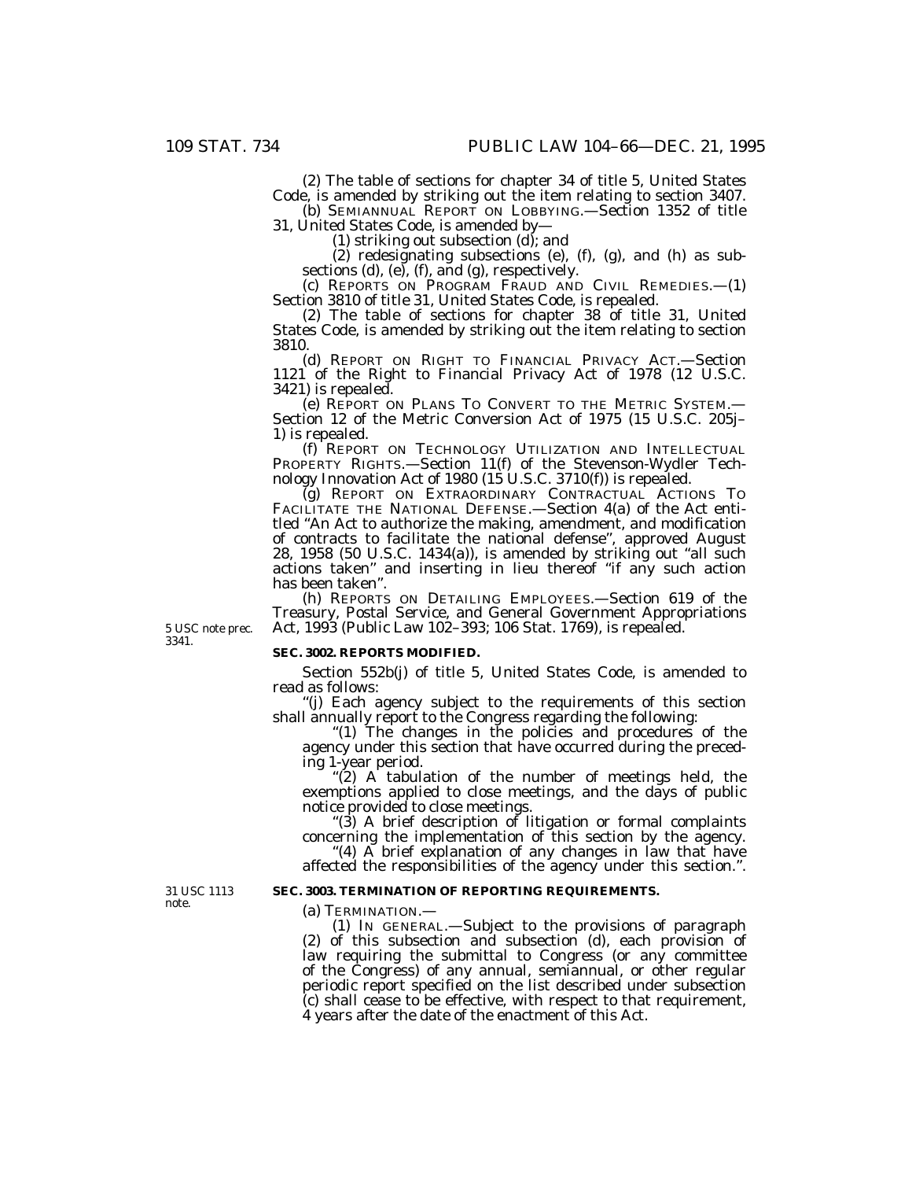(2) The table of sections for chapter 34 of title 5, United States Code, is amended by striking out the item relating to section 3407. (b) SEMIANNUAL REPORT ON LOBBYING.—Section 1352 of title

31, United States Code, is amended by—

(1) striking out subsection  $(d)$ ; and

(2) redesignating subsections (e), (f), (g), and (h) as subsections  $(d)$ ,  $(e)$ ,  $(f)$ , and  $(g)$ , respectively.

(c) REPORTS ON PROGRAM FRAUD AND CIVIL REMEDIES.—(1) Section 3810 of title 31, United States Code, is repealed.

(2) The table of sections for chapter 38 of title 31, United States Code, is amended by striking out the item relating to section 3810.

(d) REPORT ON RIGHT TO FINANCIAL PRIVACY ACT.—Section 1121 of the Right to Financial Privacy Act of 1978 (12 U.S.C. 3421) is repealed.

(e) REPORT ON PLANS TO CONVERT TO THE METRIC SYSTEM.— Section 12 of the Metric Conversion Act of 1975 (15 U.S.C. 205j– 1) is repealed.

(f) REPORT ON TECHNOLOGY UTILIZATION AND INTELLECTUAL PROPERTY RIGHTS.—Section 11(f) of the Stevenson-Wydler Technology Innovation Act of 1980 (15 U.S.C. 3710(f)) is repealed.

(g) REPORT ON EXTRAORDINARY CONTRACTUAL ACTIONS TO FACILITATE THE NATIONAL DEFENSE.—Section 4(a) of the Act entitled ''An Act to authorize the making, amendment, and modification of contracts to facilitate the national defense'', approved August 28, 1958 (50 U.S.C. 1434(a)), is amended by striking out ''all such actions taken'' and inserting in lieu thereof ''if any such action has been taken''.

(h) REPORTS ON DETAILING EMPLOYEES.—Section 619 of the Treasury, Postal Service, and General Government Appropriations Act, 1993 (Public Law 102–393; 106 Stat. 1769), is repealed.

5 USC note prec. 3341.

### **SEC. 3002. REPORTS MODIFIED.**

Section 552b(j) of title 5, United States Code, is amended to read as follows:

''(j) Each agency subject to the requirements of this section shall annually report to the Congress regarding the following:

"(1) The changes in the policies and procedures of the agency under this section that have occurred during the preceding 1-year period.

"(2) A tabulation of the number of meetings held, the exemptions applied to close meetings, and the days of public notice provided to close meetings.

''(3) A brief description of litigation or formal complaints concerning the implementation of this section by the agency.

''(4) A brief explanation of any changes in law that have affected the responsibilities of the agency under this section.''.

### **SEC. 3003. TERMINATION OF REPORTING REQUIREMENTS.**

(a) TERMINATION.—

(1) IN GENERAL.—Subject to the provisions of paragraph (2) of this subsection and subsection (d), each provision of law requiring the submittal to Congress (or any committee of the Congress) of any annual, semiannual, or other regular periodic report specified on the list described under subsection (c) shall cease to be effective, with respect to that requirement, 4 years after the date of the enactment of this Act.

31 USC 1113 note.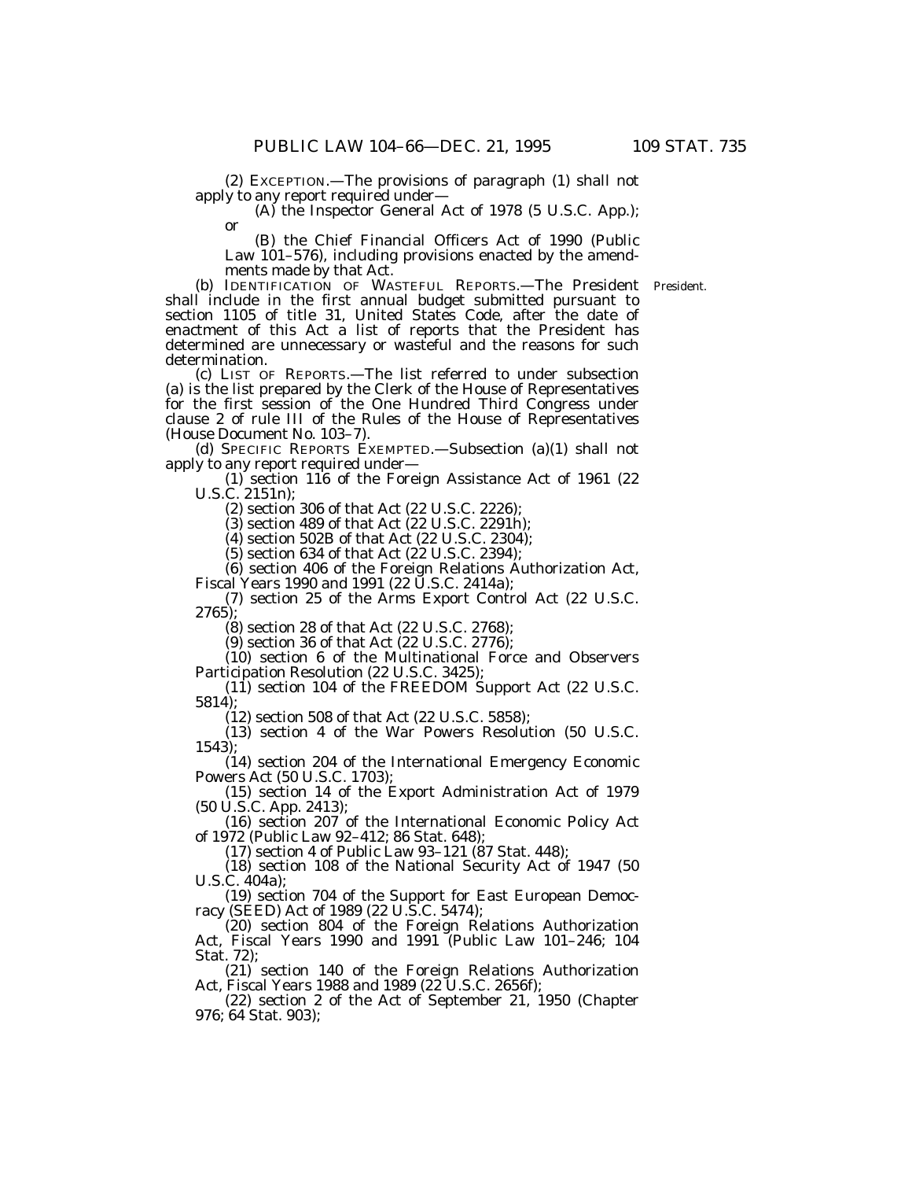(2) EXCEPTION.—The provisions of paragraph  $(1)$  shall not apply to any report required under—

(A) the Inspector General Act of 1978 (5 U.S.C. App.); or

(B) the Chief Financial Officers Act of 1990 (Public Law 101–576), including provisions enacted by the amendments made by that Act.

(b) IDENTIFICATION OF WASTEFUL REPORTS.—The President President. shall include in the first annual budget submitted pursuant to section 1105 of title 31, United States Code, after the date of enactment of this Act a list of reports that the President has determined are unnecessary or wasteful and the reasons for such determination.

(c) LIST OF REPORTS.—The list referred to under subsection (a) is the list prepared by the Clerk of the House of Representatives for the first session of the One Hundred Third Congress under clause 2 of rule III of the Rules of the House of Representatives (House Document No. 103–7).

(d) SPECIFIC REPORTS EXEMPTED.—Subsection (a)(1) shall not apply to any report required under—

(1) section 116 of the Foreign Assistance Act of 1961 (22 U.S.C. 2151n);

(2) section 306 of that Act (22 U.S.C. 2226);

 $(3)$  section 489 of that Act  $(22 \text{ U.S.C. } 2291 \text{ h});$ 

(4) section 502B of that Act (22 U.S.C. 2304);

(5) section 634 of that Act (22 U.S.C. 2394);

(6) section 406 of the Foreign Relations Authorization Act, Fiscal Years 1990 and 1991 (22 U.S.C. 2414a);

(7) section 25 of the Arms Export Control Act (22 U.S.C. 2765);

(8) section 28 of that Act (22 U.S.C. 2768);

(9) section 36 of that Act (22 U.S.C. 2776);

(10) section 6 of the Multinational Force and Observers Participation Resolution (22 U.S.C. 3425);

(11) section 104 of the FREEDOM Support Act (22 U.S.C. 5814);

(12) section 508 of that Act (22 U.S.C. 5858);

(13) section 4 of the War Powers Resolution (50 U.S.C. 1543);

(14) section 204 of the International Emergency Economic Powers Act (50 U.S.C. 1703);

(15) section 14 of the Export Administration Act of 1979 (50 U.S.C. App. 2413);

(16) section 207 of the International Economic Policy Act of 1972 (Public Law 92–412; 86 Stat. 648);

(17) section 4 of Public Law 93–121 (87 Stat. 448);

(18) section 108 of the National Security Act of 1947 (50 U.S.C. 404a);

(19) section 704 of the Support for East European Democracy (SEED) Act of 1989 (22 U.S.C. 5474);

(20) section 804 of the Foreign Relations Authorization Act, Fiscal Years 1990 and 1991 (Public Law 101–246; 104 Stat. 72);

(21) section 140 of the Foreign Relations Authorization Act, Fiscal Years 1988 and 1989 (22 U.S.C. 2656f);

(22) section 2 of the Act of September 21, 1950 (Chapter 976; 64 Stat. 903);